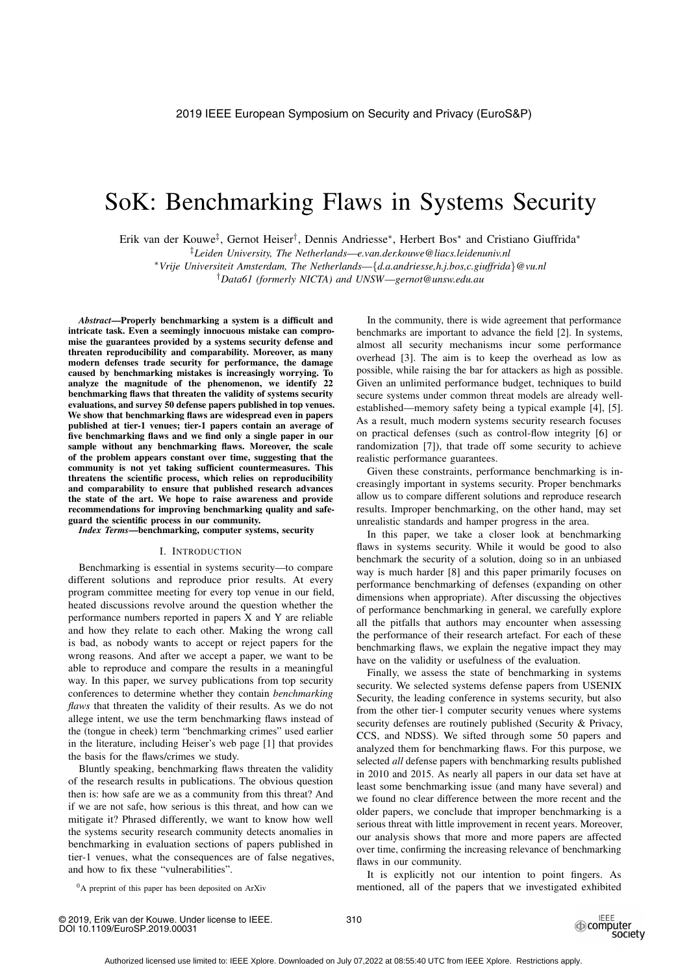# SoK: Benchmarking Flaws in Systems Security

Erik van der Kouwe‡, Gernot Heiser†, Dennis Andriesse∗, Herbert Bos∗ and Cristiano Giuffrida∗

‡*Leiden University, The Netherlands*—*e.van.der.kouwe@liacs.leidenuniv.nl*

∗*Vrije Universiteit Amsterdam, The Netherlands*—{*d.a.andriesse,h.j.bos,c.giuffrida*}*@vu.nl*

†*Data61 (formerly NICTA) and UNSW*—*gernot@unsw.edu.au*

*Abstract*—Properly benchmarking a system is a difficult and intricate task. Even a seemingly innocuous mistake can compromise the guarantees provided by a systems security defense and threaten reproducibility and comparability. Moreover, as many modern defenses trade security for performance, the damage caused by benchmarking mistakes is increasingly worrying. To analyze the magnitude of the phenomenon, we identify 22 benchmarking flaws that threaten the validity of systems security evaluations, and survey 50 defense papers published in top venues. We show that benchmarking flaws are widespread even in papers published at tier-1 venues; tier-1 papers contain an average of five benchmarking flaws and we find only a single paper in our sample without any benchmarking flaws. Moreover, the scale of the problem appears constant over time, suggesting that the community is not yet taking sufficient countermeasures. This threatens the scientific process, which relies on reproducibility and comparability to ensure that published research advances the state of the art. We hope to raise awareness and provide recommendations for improving benchmarking quality and safeguard the scientific process in our community.

*Index Terms*—benchmarking, computer systems, security

# I. INTRODUCTION

Benchmarking is essential in systems security—to compare different solutions and reproduce prior results. At every program committee meeting for every top venue in our field, heated discussions revolve around the question whether the performance numbers reported in papers X and Y are reliable and how they relate to each other. Making the wrong call is bad, as nobody wants to accept or reject papers for the wrong reasons. And after we accept a paper, we want to be able to reproduce and compare the results in a meaningful way. In this paper, we survey publications from top security conferences to determine whether they contain *benchmarking flaws* that threaten the validity of their results. As we do not allege intent, we use the term benchmarking flaws instead of the (tongue in cheek) term "benchmarking crimes" used earlier in the literature, including Heiser's web page [1] that provides the basis for the flaws/crimes we study.

Bluntly speaking, benchmarking flaws threaten the validity of the research results in publications. The obvious question then is: how safe are we as a community from this threat? And if we are not safe, how serious is this threat, and how can we mitigate it? Phrased differently, we want to know how well the systems security research community detects anomalies in benchmarking in evaluation sections of papers published in tier-1 venues, what the consequences are of false negatives, and how to fix these "vulnerabilities".

In the community, there is wide agreement that performance benchmarks are important to advance the field [2]. In systems, almost all security mechanisms incur some performance overhead [3]. The aim is to keep the overhead as low as possible, while raising the bar for attackers as high as possible. Given an unlimited performance budget, techniques to build secure systems under common threat models are already wellestablished—memory safety being a typical example [4], [5]. As a result, much modern systems security research focuses on practical defenses (such as control-flow integrity [6] or randomization [7]), that trade off some security to achieve realistic performance guarantees.

Given these constraints, performance benchmarking is increasingly important in systems security. Proper benchmarks allow us to compare different solutions and reproduce research results. Improper benchmarking, on the other hand, may set unrealistic standards and hamper progress in the area.

In this paper, we take a closer look at benchmarking flaws in systems security. While it would be good to also benchmark the security of a solution, doing so in an unbiased way is much harder [8] and this paper primarily focuses on performance benchmarking of defenses (expanding on other dimensions when appropriate). After discussing the objectives of performance benchmarking in general, we carefully explore all the pitfalls that authors may encounter when assessing the performance of their research artefact. For each of these benchmarking flaws, we explain the negative impact they may have on the validity or usefulness of the evaluation.

Finally, we assess the state of benchmarking in systems security. We selected systems defense papers from USENIX Security, the leading conference in systems security, but also from the other tier-1 computer security venues where systems security defenses are routinely published (Security & Privacy, CCS, and NDSS). We sifted through some 50 papers and analyzed them for benchmarking flaws. For this purpose, we selected *all* defense papers with benchmarking results published in 2010 and 2015. As nearly all papers in our data set have at least some benchmarking issue (and many have several) and we found no clear difference between the more recent and the older papers, we conclude that improper benchmarking is a serious threat with little improvement in recent years. Moreover, our analysis shows that more and more papers are affected over time, confirming the increasing relevance of benchmarking flaws in our community.

0A preprint of this paper has been deposited on ArXiv

It is explicitly not our intention to point fingers. As mentioned, all of the papers that we investigated exhibited

© 2019, Erik van der Kouwe. Under license to IEEE. DOI 10.1109/EuroSP.2019.00031

310

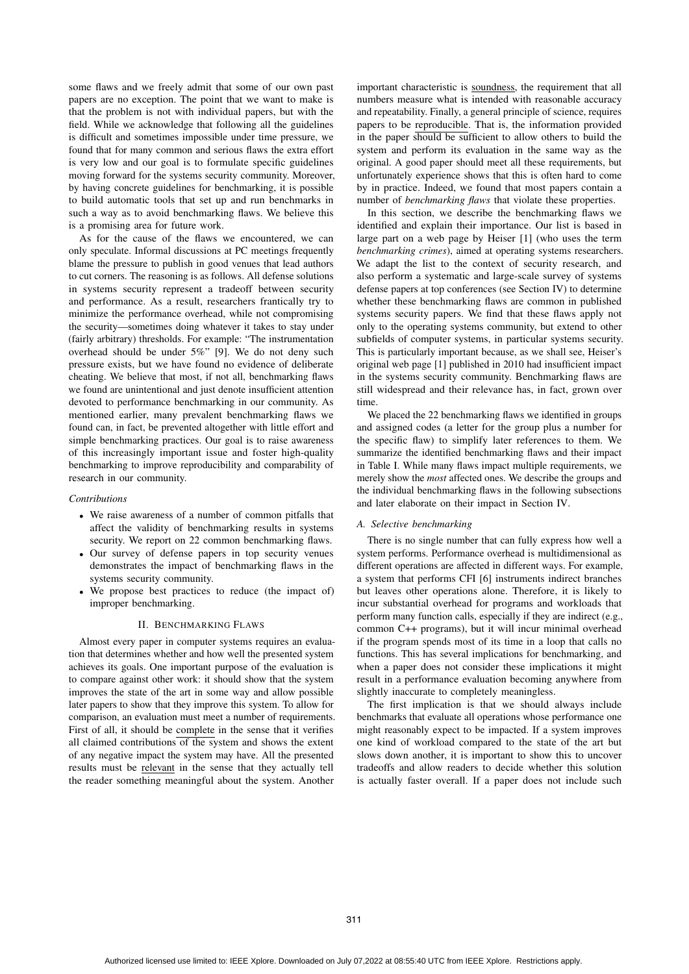some flaws and we freely admit that some of our own past papers are no exception. The point that we want to make is that the problem is not with individual papers, but with the field. While we acknowledge that following all the guidelines is difficult and sometimes impossible under time pressure, we found that for many common and serious flaws the extra effort is very low and our goal is to formulate specific guidelines moving forward for the systems security community. Moreover, by having concrete guidelines for benchmarking, it is possible to build automatic tools that set up and run benchmarks in such a way as to avoid benchmarking flaws. We believe this is a promising area for future work.

As for the cause of the flaws we encountered, we can only speculate. Informal discussions at PC meetings frequently blame the pressure to publish in good venues that lead authors to cut corners. The reasoning is as follows. All defense solutions in systems security represent a tradeoff between security and performance. As a result, researchers frantically try to minimize the performance overhead, while not compromising the security—sometimes doing whatever it takes to stay under (fairly arbitrary) thresholds. For example: "The instrumentation overhead should be under 5%" [9]. We do not deny such pressure exists, but we have found no evidence of deliberate cheating. We believe that most, if not all, benchmarking flaws we found are unintentional and just denote insufficient attention devoted to performance benchmarking in our community. As mentioned earlier, many prevalent benchmarking flaws we found can, in fact, be prevented altogether with little effort and simple benchmarking practices. Our goal is to raise awareness of this increasingly important issue and foster high-quality benchmarking to improve reproducibility and comparability of research in our community.

## *Contributions*

- We raise awareness of a number of common pitfalls that affect the validity of benchmarking results in systems security. We report on 22 common benchmarking flaws.
- Our survey of defense papers in top security venues demonstrates the impact of benchmarking flaws in the systems security community.
- We propose best practices to reduce (the impact of) improper benchmarking.

## II. BENCHMARKING FLAWS

Almost every paper in computer systems requires an evaluation that determines whether and how well the presented system achieves its goals. One important purpose of the evaluation is to compare against other work: it should show that the system improves the state of the art in some way and allow possible later papers to show that they improve this system. To allow for comparison, an evaluation must meet a number of requirements. First of all, it should be complete in the sense that it verifies all claimed contributions of the system and shows the extent of any negative impact the system may have. All the presented results must be relevant in the sense that they actually tell the reader something meaningful about the system. Another

important characteristic is soundness, the requirement that all numbers measure what is intended with reasonable accuracy and repeatability. Finally, a general principle of science, requires papers to be reproducible. That is, the information provided in the paper should be sufficient to allow others to build the system and perform its evaluation in the same way as the original. A good paper should meet all these requirements, but unfortunately experience shows that this is often hard to come by in practice. Indeed, we found that most papers contain a number of *benchmarking flaws* that violate these properties.

In this section, we describe the benchmarking flaws we identified and explain their importance. Our list is based in large part on a web page by Heiser [1] (who uses the term *benchmarking crimes*), aimed at operating systems researchers. We adapt the list to the context of security research, and also perform a systematic and large-scale survey of systems defense papers at top conferences (see Section IV) to determine whether these benchmarking flaws are common in published systems security papers. We find that these flaws apply not only to the operating systems community, but extend to other subfields of computer systems, in particular systems security. This is particularly important because, as we shall see, Heiser's original web page [1] published in 2010 had insufficient impact in the systems security community. Benchmarking flaws are still widespread and their relevance has, in fact, grown over time.

We placed the 22 benchmarking flaws we identified in groups and assigned codes (a letter for the group plus a number for the specific flaw) to simplify later references to them. We summarize the identified benchmarking flaws and their impact in Table I. While many flaws impact multiple requirements, we merely show the *most* affected ones. We describe the groups and the individual benchmarking flaws in the following subsections and later elaborate on their impact in Section IV.

## *A. Selective benchmarking*

There is no single number that can fully express how well a system performs. Performance overhead is multidimensional as different operations are affected in different ways. For example, a system that performs CFI [6] instruments indirect branches but leaves other operations alone. Therefore, it is likely to incur substantial overhead for programs and workloads that perform many function calls, especially if they are indirect (e.g., common C++ programs), but it will incur minimal overhead if the program spends most of its time in a loop that calls no functions. This has several implications for benchmarking, and when a paper does not consider these implications it might result in a performance evaluation becoming anywhere from slightly inaccurate to completely meaningless.

The first implication is that we should always include benchmarks that evaluate all operations whose performance one might reasonably expect to be impacted. If a system improves one kind of workload compared to the state of the art but slows down another, it is important to show this to uncover tradeoffs and allow readers to decide whether this solution is actually faster overall. If a paper does not include such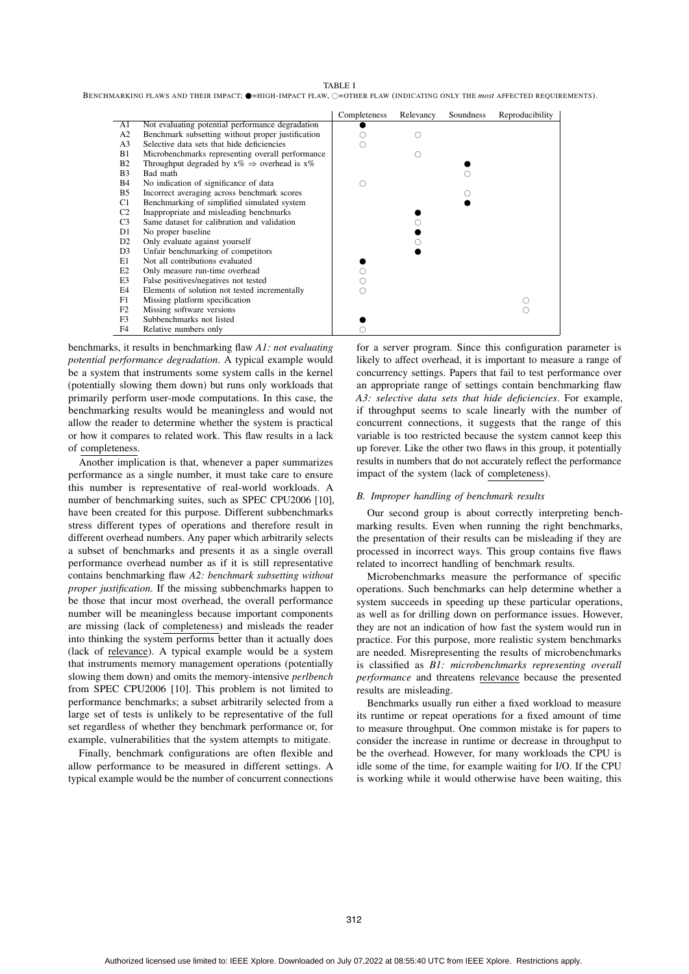TABLE I

BENCHMARKING FLAWS AND THEIR IMPACT;  $\bullet$ =HIGH-IMPACT FLAW,  $\circ$ =OTHER FLAW (INDICATING ONLY THE *most* affected requirements).

|                       |                                                            | Completeness | Relevancy | Soundness | Reproducibility |
|-----------------------|------------------------------------------------------------|--------------|-----------|-----------|-----------------|
| A1                    | Not evaluating potential performance degradation           |              |           |           |                 |
| A <sub>2</sub>        | Benchmark subsetting without proper justification          |              |           |           |                 |
| A <sub>3</sub>        | Selective data sets that hide deficiencies                 |              |           |           |                 |
| B1                    | Microbenchmarks representing overall performance           |              |           |           |                 |
| <b>B2</b>             | Throughput degraded by $x\% \Rightarrow$ overhead is $x\%$ |              |           |           |                 |
| <b>B</b> <sub>3</sub> | Bad math                                                   |              |           |           |                 |
| <b>B</b> 4            | No indication of significance of data                      |              |           |           |                 |
| B <sub>5</sub>        | Incorrect averaging across benchmark scores                |              |           |           |                 |
| C1                    | Benchmarking of simplified simulated system                |              |           |           |                 |
| C <sub>2</sub>        | Inappropriate and misleading benchmarks                    |              |           |           |                 |
| C <sub>3</sub>        | Same dataset for calibration and validation                |              |           |           |                 |
| D <sub>1</sub>        | No proper baseline                                         |              |           |           |                 |
| D <sub>2</sub>        | Only evaluate against yourself                             |              |           |           |                 |
| D <sub>3</sub>        | Unfair benchmarking of competitors                         |              |           |           |                 |
| E1                    | Not all contributions evaluated                            |              |           |           |                 |
| E2                    | Only measure run-time overhead                             |              |           |           |                 |
| E3                    | False positives/negatives not tested                       |              |           |           |                 |
| E4                    | Elements of solution not tested incrementally              |              |           |           |                 |
| F1                    | Missing platform specification                             |              |           |           |                 |
| F2                    | Missing software versions                                  |              |           |           |                 |
| F <sub>3</sub>        | Subbenchmarks not listed                                   |              |           |           |                 |
| F <sub>4</sub>        | Relative numbers only                                      |              |           |           |                 |

benchmarks, it results in benchmarking flaw *A1: not evaluating potential performance degradation*. A typical example would be a system that instruments some system calls in the kernel (potentially slowing them down) but runs only workloads that primarily perform user-mode computations. In this case, the benchmarking results would be meaningless and would not allow the reader to determine whether the system is practical or how it compares to related work. This flaw results in a lack of completeness.

Another implication is that, whenever a paper summarizes performance as a single number, it must take care to ensure this number is representative of real-world workloads. A number of benchmarking suites, such as SPEC CPU2006 [10], have been created for this purpose. Different subbenchmarks stress different types of operations and therefore result in different overhead numbers. Any paper which arbitrarily selects a subset of benchmarks and presents it as a single overall performance overhead number as if it is still representative contains benchmarking flaw *A2: benchmark subsetting without proper justification*. If the missing subbenchmarks happen to be those that incur most overhead, the overall performance number will be meaningless because important components are missing (lack of completeness) and misleads the reader into thinking the system performs better than it actually does (lack of relevance). A typical example would be a system that instruments memory management operations (potentially slowing them down) and omits the memory-intensive *perlbench* from SPEC CPU2006 [10]. This problem is not limited to performance benchmarks; a subset arbitrarily selected from a large set of tests is unlikely to be representative of the full set regardless of whether they benchmark performance or, for example, vulnerabilities that the system attempts to mitigate.

Finally, benchmark configurations are often flexible and allow performance to be measured in different settings. A typical example would be the number of concurrent connections for a server program. Since this configuration parameter is likely to affect overhead, it is important to measure a range of concurrency settings. Papers that fail to test performance over an appropriate range of settings contain benchmarking flaw *A3: selective data sets that hide deficiencies*. For example, if throughput seems to scale linearly with the number of concurrent connections, it suggests that the range of this variable is too restricted because the system cannot keep this up forever. Like the other two flaws in this group, it potentially results in numbers that do not accurately reflect the performance impact of the system (lack of completeness).

#### *B. Improper handling of benchmark results*

Our second group is about correctly interpreting benchmarking results. Even when running the right benchmarks, the presentation of their results can be misleading if they are processed in incorrect ways. This group contains five flaws related to incorrect handling of benchmark results.

Microbenchmarks measure the performance of specific operations. Such benchmarks can help determine whether a system succeeds in speeding up these particular operations, as well as for drilling down on performance issues. However, they are not an indication of how fast the system would run in practice. For this purpose, more realistic system benchmarks are needed. Misrepresenting the results of microbenchmarks is classified as *B1: microbenchmarks representing overall performance* and threatens relevance because the presented results are misleading.

Benchmarks usually run either a fixed workload to measure its runtime or repeat operations for a fixed amount of time to measure throughput. One common mistake is for papers to consider the increase in runtime or decrease in throughput to be the overhead. However, for many workloads the CPU is idle some of the time, for example waiting for I/O. If the CPU is working while it would otherwise have been waiting, this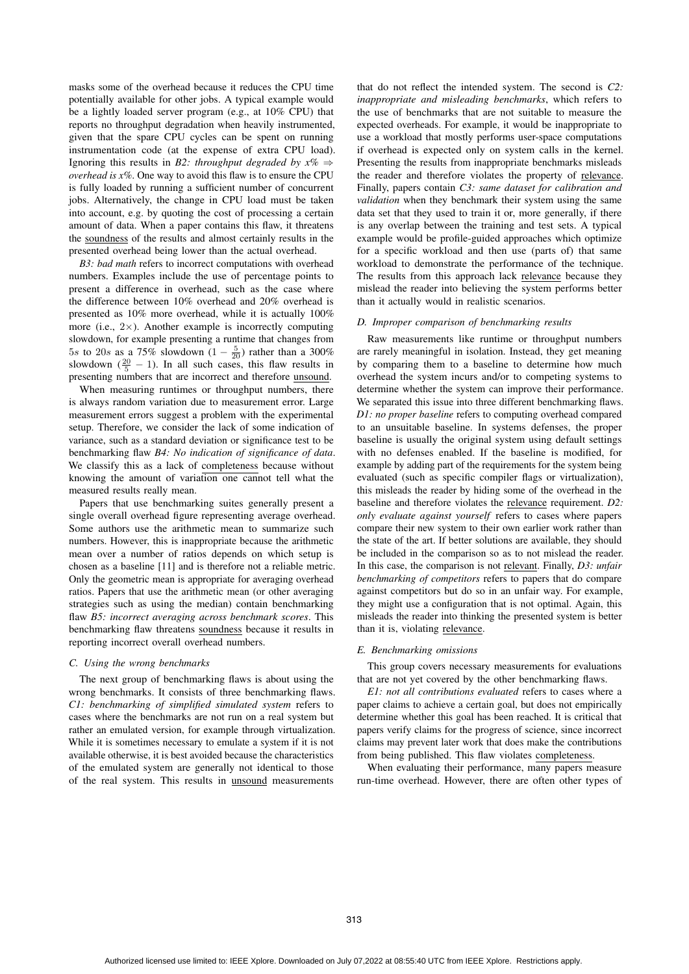masks some of the overhead because it reduces the CPU time potentially available for other jobs. A typical example would be a lightly loaded server program (e.g., at 10% CPU) that reports no throughput degradation when heavily instrumented, given that the spare CPU cycles can be spent on running instrumentation code (at the expense of extra CPU load). Ignoring this results in *B2: throughput degraded by x%* ⇒ *overhead is x%*. One way to avoid this flaw is to ensure the CPU is fully loaded by running a sufficient number of concurrent jobs. Alternatively, the change in CPU load must be taken into account, e.g. by quoting the cost of processing a certain amount of data. When a paper contains this flaw, it threatens the soundness of the results and almost certainly results in the presented overhead being lower than the actual overhead.

*B3: bad math* refers to incorrect computations with overhead numbers. Examples include the use of percentage points to present a difference in overhead, such as the case where the difference between 10% overhead and 20% overhead is presented as 10% more overhead, while it is actually 100% more (i.e.,  $2\times$ ). Another example is incorrectly computing slowdown, for example presenting a runtime that changes from 5s to 20s as a 75% slowdown  $(1 - \frac{5}{20})$  rather than a 300% slowdown  $(\frac{20}{5} - 1)$ . In all such cases, this flaw results in presenting numbers that are incorrect and therefore unsound.

When measuring runtimes or throughput numbers, there is always random variation due to measurement error. Large measurement errors suggest a problem with the experimental setup. Therefore, we consider the lack of some indication of variance, such as a standard deviation or significance test to be benchmarking flaw *B4: No indication of significance of data*. We classify this as a lack of completeness because without knowing the amount of variation one cannot tell what the measured results really mean.

Papers that use benchmarking suites generally present a single overall overhead figure representing average overhead. Some authors use the arithmetic mean to summarize such numbers. However, this is inappropriate because the arithmetic mean over a number of ratios depends on which setup is chosen as a baseline [11] and is therefore not a reliable metric. Only the geometric mean is appropriate for averaging overhead ratios. Papers that use the arithmetic mean (or other averaging strategies such as using the median) contain benchmarking flaw *B5: incorrect averaging across benchmark scores*. This benchmarking flaw threatens soundness because it results in reporting incorrect overall overhead numbers.

# *C. Using the wrong benchmarks*

The next group of benchmarking flaws is about using the wrong benchmarks. It consists of three benchmarking flaws. *C1: benchmarking of simplified simulated system* refers to cases where the benchmarks are not run on a real system but rather an emulated version, for example through virtualization. While it is sometimes necessary to emulate a system if it is not available otherwise, it is best avoided because the characteristics of the emulated system are generally not identical to those of the real system. This results in unsound measurements

that do not reflect the intended system. The second is *C2: inappropriate and misleading benchmarks*, which refers to the use of benchmarks that are not suitable to measure the expected overheads. For example, it would be inappropriate to use a workload that mostly performs user-space computations if overhead is expected only on system calls in the kernel. Presenting the results from inappropriate benchmarks misleads the reader and therefore violates the property of relevance. Finally, papers contain *C3: same dataset for calibration and validation* when they benchmark their system using the same data set that they used to train it or, more generally, if there is any overlap between the training and test sets. A typical example would be profile-guided approaches which optimize for a specific workload and then use (parts of) that same workload to demonstrate the performance of the technique. The results from this approach lack relevance because they mislead the reader into believing the system performs better than it actually would in realistic scenarios.

## *D. Improper comparison of benchmarking results*

Raw measurements like runtime or throughput numbers are rarely meaningful in isolation. Instead, they get meaning by comparing them to a baseline to determine how much overhead the system incurs and/or to competing systems to determine whether the system can improve their performance. We separated this issue into three different benchmarking flaws. *D1: no proper baseline* refers to computing overhead compared to an unsuitable baseline. In systems defenses, the proper baseline is usually the original system using default settings with no defenses enabled. If the baseline is modified, for example by adding part of the requirements for the system being evaluated (such as specific compiler flags or virtualization), this misleads the reader by hiding some of the overhead in the baseline and therefore violates the relevance requirement. *D2: only evaluate against yourself* refers to cases where papers compare their new system to their own earlier work rather than the state of the art. If better solutions are available, they should be included in the comparison so as to not mislead the reader. In this case, the comparison is not relevant. Finally, *D3: unfair benchmarking of competitors* refers to papers that do compare against competitors but do so in an unfair way. For example, they might use a configuration that is not optimal. Again, this misleads the reader into thinking the presented system is better than it is, violating relevance.

# *E. Benchmarking omissions*

This group covers necessary measurements for evaluations that are not yet covered by the other benchmarking flaws.

*E1: not all contributions evaluated* refers to cases where a paper claims to achieve a certain goal, but does not empirically determine whether this goal has been reached. It is critical that papers verify claims for the progress of science, since incorrect claims may prevent later work that does make the contributions from being published. This flaw violates completeness.

When evaluating their performance, many papers measure run-time overhead. However, there are often other types of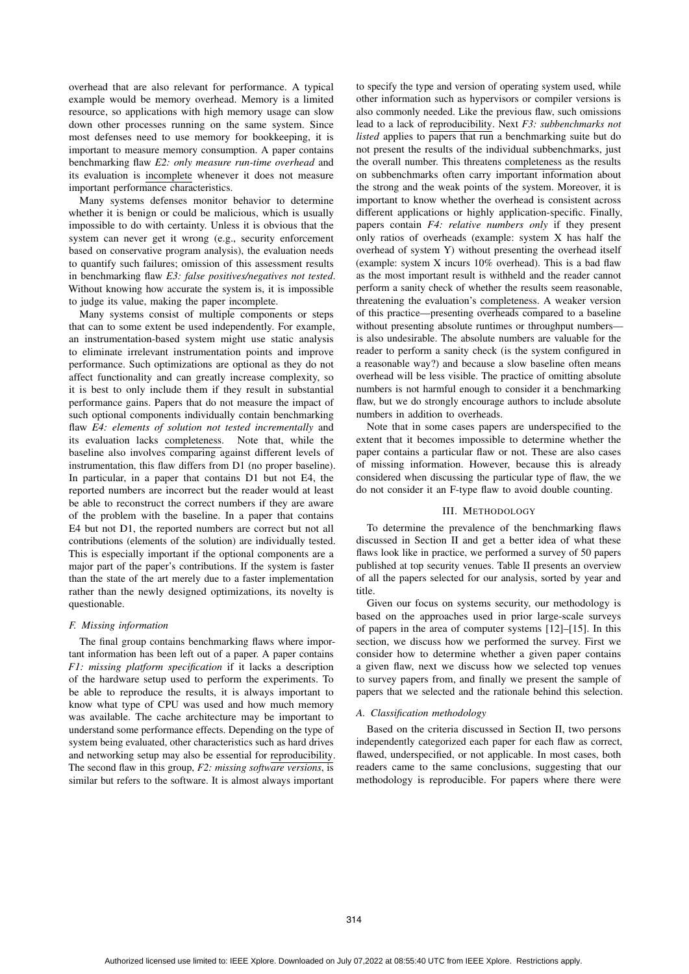overhead that are also relevant for performance. A typical example would be memory overhead. Memory is a limited resource, so applications with high memory usage can slow down other processes running on the same system. Since most defenses need to use memory for bookkeeping, it is important to measure memory consumption. A paper contains benchmarking flaw *E2: only measure run-time overhead* and its evaluation is incomplete whenever it does not measure important performance characteristics.

Many systems defenses monitor behavior to determine whether it is benign or could be malicious, which is usually impossible to do with certainty. Unless it is obvious that the system can never get it wrong (e.g., security enforcement based on conservative program analysis), the evaluation needs to quantify such failures; omission of this assessment results in benchmarking flaw *E3: false positives/negatives not tested*. Without knowing how accurate the system is, it is impossible to judge its value, making the paper incomplete.

Many systems consist of multiple components or steps that can to some extent be used independently. For example, an instrumentation-based system might use static analysis to eliminate irrelevant instrumentation points and improve performance. Such optimizations are optional as they do not affect functionality and can greatly increase complexity, so it is best to only include them if they result in substantial performance gains. Papers that do not measure the impact of such optional components individually contain benchmarking flaw *E4: elements of solution not tested incrementally* and its evaluation lacks completeness. Note that, while the baseline also involves comparing against different levels of instrumentation, this flaw differs from D1 (no proper baseline). In particular, in a paper that contains D1 but not E4, the reported numbers are incorrect but the reader would at least be able to reconstruct the correct numbers if they are aware of the problem with the baseline. In a paper that contains E4 but not D1, the reported numbers are correct but not all contributions (elements of the solution) are individually tested. This is especially important if the optional components are a major part of the paper's contributions. If the system is faster than the state of the art merely due to a faster implementation rather than the newly designed optimizations, its novelty is questionable.

#### *F. Missing information*

The final group contains benchmarking flaws where important information has been left out of a paper. A paper contains *F1: missing platform specification* if it lacks a description of the hardware setup used to perform the experiments. To be able to reproduce the results, it is always important to know what type of CPU was used and how much memory was available. The cache architecture may be important to understand some performance effects. Depending on the type of system being evaluated, other characteristics such as hard drives and networking setup may also be essential for reproducibility. The second flaw in this group, *F2: missing software versions*, is similar but refers to the software. It is almost always important

to specify the type and version of operating system used, while other information such as hypervisors or compiler versions is also commonly needed. Like the previous flaw, such omissions lead to a lack of reproducibility. Next *F3: subbenchmarks not listed* applies to papers that run a benchmarking suite but do not present the results of the individual subbenchmarks, just the overall number. This threatens completeness as the results on subbenchmarks often carry important information about the strong and the weak points of the system. Moreover, it is important to know whether the overhead is consistent across different applications or highly application-specific. Finally, papers contain *F4: relative numbers only* if they present only ratios of overheads (example: system X has half the overhead of system Y) without presenting the overhead itself (example: system X incurs 10% overhead). This is a bad flaw as the most important result is withheld and the reader cannot perform a sanity check of whether the results seem reasonable, threatening the evaluation's completeness. A weaker version of this practice—presenting overheads compared to a baseline without presenting absolute runtimes or throughput numbers is also undesirable. The absolute numbers are valuable for the reader to perform a sanity check (is the system configured in a reasonable way?) and because a slow baseline often means overhead will be less visible. The practice of omitting absolute numbers is not harmful enough to consider it a benchmarking flaw, but we do strongly encourage authors to include absolute numbers in addition to overheads.

Note that in some cases papers are underspecified to the extent that it becomes impossible to determine whether the paper contains a particular flaw or not. These are also cases of missing information. However, because this is already considered when discussing the particular type of flaw, the we do not consider it an F-type flaw to avoid double counting.

# III. METHODOLOGY

To determine the prevalence of the benchmarking flaws discussed in Section II and get a better idea of what these flaws look like in practice, we performed a survey of 50 papers published at top security venues. Table II presents an overview of all the papers selected for our analysis, sorted by year and title.

Given our focus on systems security, our methodology is based on the approaches used in prior large-scale surveys of papers in the area of computer systems [12]–[15]. In this section, we discuss how we performed the survey. First we consider how to determine whether a given paper contains a given flaw, next we discuss how we selected top venues to survey papers from, and finally we present the sample of papers that we selected and the rationale behind this selection.

#### *A. Classification methodology*

Based on the criteria discussed in Section II, two persons independently categorized each paper for each flaw as correct, flawed, underspecified, or not applicable. In most cases, both readers came to the same conclusions, suggesting that our methodology is reproducible. For papers where there were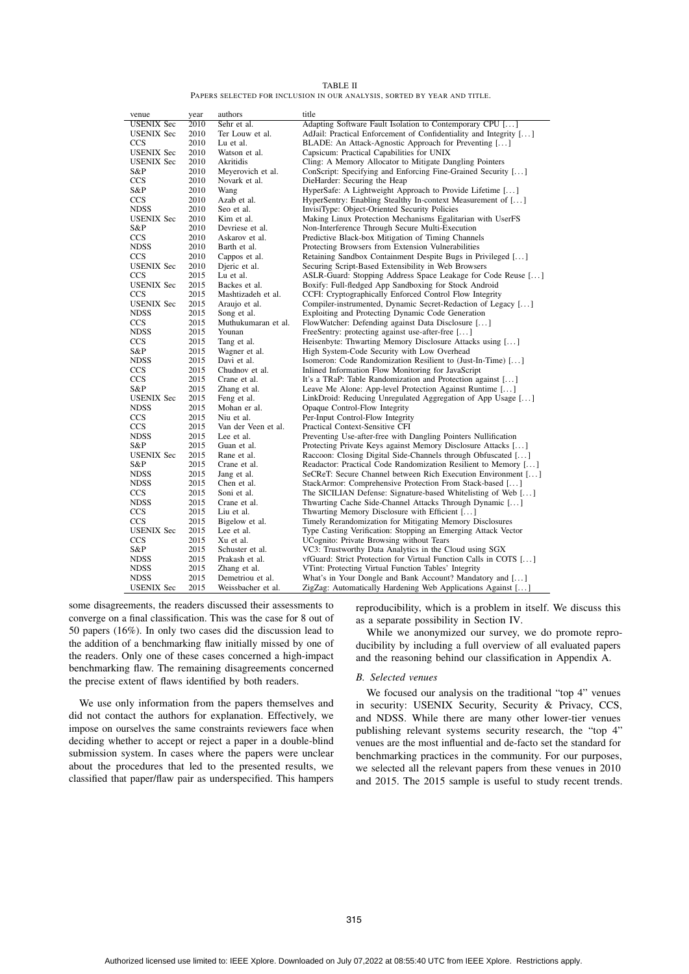| TABLE II                                                                |
|-------------------------------------------------------------------------|
| PAPERS SELECTED FOR INCLUSION IN OUR ANALYSIS, SORTED BY YEAR AND TITLE |
|                                                                         |

| venue             | year | authors             | title                                                             |
|-------------------|------|---------------------|-------------------------------------------------------------------|
| <b>USENIX Sec</b> | 2010 | Sehr et al.         | Adapting Software Fault Isolation to Contemporary CPU []          |
| <b>USENIX Sec</b> | 2010 | Ter Louw et al.     | AdJail: Practical Enforcement of Confidentiality and Integrity [] |
| <b>CCS</b>        | 2010 | Lu et al.           | BLADE: An Attack-Agnostic Approach for Preventing []              |
| <b>USENIX</b> Sec | 2010 | Watson et al.       | Capsicum: Practical Capabilities for UNIX                         |
| <b>USENIX Sec</b> | 2010 | Akritidis           | Cling: A Memory Allocator to Mitigate Dangling Pointers           |
| S&P               | 2010 | Meyerovich et al.   | ConScript: Specifying and Enforcing Fine-Grained Security []      |
| <b>CCS</b>        | 2010 | Novark et al.       | DieHarder: Securing the Heap                                      |
| S&P               | 2010 | Wang                | HyperSafe: A Lightweight Approach to Provide Lifetime []          |
| <b>CCS</b>        | 2010 | Azab et al.         | HyperSentry: Enabling Stealthy In-context Measurement of []       |
| <b>NDSS</b>       | 2010 | Seo et al.          | InvisiType: Object-Oriented Security Policies                     |
| <b>USENIX Sec</b> | 2010 | Kim et al.          | Making Linux Protection Mechanisms Egalitarian with UserFS        |
| S&P               | 2010 | Devriese et al.     | Non-Interference Through Secure Multi-Execution                   |
| <b>CCS</b>        | 2010 | Askarov et al.      | Predictive Black-box Mitigation of Timing Channels                |
| <b>NDSS</b>       | 2010 | Barth et al.        | Protecting Browsers from Extension Vulnerabilities                |
| <b>CCS</b>        | 2010 | Cappos et al.       | Retaining Sandbox Containment Despite Bugs in Privileged []       |
| <b>USENIX Sec</b> | 2010 | Djeric et al.       | Securing Script-Based Extensibility in Web Browsers               |
| <b>CCS</b>        | 2015 | Lu et al.           | ASLR-Guard: Stopping Address Space Leakage for Code Reuse []      |
| <b>USENIX Sec</b> | 2015 | Backes et al.       | Boxify: Full-fledged App Sandboxing for Stock Android             |
| <b>CCS</b>        | 2015 | Mashtizadeh et al.  | CCFI: Cryptographically Enforced Control Flow Integrity           |
| <b>USENIX</b> Sec | 2015 | Araujo et al.       | Compiler-instrumented, Dynamic Secret-Redaction of Legacy []      |
| <b>NDSS</b>       | 2015 | Song et al.         | Exploiting and Protecting Dynamic Code Generation                 |
| <b>CCS</b>        | 2015 | Muthukumaran et al. | FlowWatcher: Defending against Data Disclosure []                 |
| <b>NDSS</b>       | 2015 | Younan              | FreeSentry: protecting against use-after-free []                  |
| <b>CCS</b>        | 2015 | Tang et al.         | Heisenbyte: Thwarting Memory Disclosure Attacks using []          |
| S&P               | 2015 | Wagner et al.       | High System-Code Security with Low Overhead                       |
| <b>NDSS</b>       | 2015 | Davi et al.         | Isomeron: Code Randomization Resilient to (Just-In-Time) []       |
| <b>CCS</b>        | 2015 | Chudnov et al.      | Inlined Information Flow Monitoring for JavaScript                |
| <b>CCS</b>        | 2015 | Crane et al.        | It's a TRaP: Table Randomization and Protection against []        |
| S&P               | 2015 | Zhang et al.        | Leave Me Alone: App-level Protection Against Runtime []           |
| <b>USENIX Sec</b> | 2015 | Feng et al.         | LinkDroid: Reducing Unregulated Aggregation of App Usage []       |
| <b>NDSS</b>       | 2015 | Mohan er al.        | Opaque Control-Flow Integrity                                     |
| <b>CCS</b>        | 2015 | Niu et al.          | Per-Input Control-Flow Integrity                                  |
| <b>CCS</b>        | 2015 | Van der Veen et al. | Practical Context-Sensitive CFI                                   |
| <b>NDSS</b>       | 2015 | Lee et al.          | Preventing Use-after-free with Dangling Pointers Nullification    |
| S&P               | 2015 | Guan et al.         | Protecting Private Keys against Memory Disclosure Attacks []      |
| <b>USENIX Sec</b> | 2015 | Rane et al.         | Raccoon: Closing Digital Side-Channels through Obfuscated []      |
| S&P               | 2015 | Crane et al.        | Readactor: Practical Code Randomization Resilient to Memory []    |
| <b>NDSS</b>       | 2015 | Jang et al.         | SeCReT: Secure Channel between Rich Execution Environment []      |
| <b>NDSS</b>       | 2015 | Chen et al.         | StackArmor: Comprehensive Protection From Stack-based []          |
| <b>CCS</b>        | 2015 | Soni et al.         | The SICILIAN Defense: Signature-based Whitelisting of Web []      |
| <b>NDSS</b>       | 2015 | Crane et al.        | Thwarting Cache Side-Channel Attacks Through Dynamic []           |
| <b>CCS</b>        | 2015 | Liu et al.          | Thwarting Memory Disclosure with Efficient []                     |
| <b>CCS</b>        | 2015 | Bigelow et al.      | Timely Rerandomization for Mitigating Memory Disclosures          |
| <b>USENIX Sec</b> | 2015 | Lee et al.          | Type Casting Verification: Stopping an Emerging Attack Vector     |
| <b>CCS</b>        | 2015 | Xu et al.           | UCognito: Private Browsing without Tears                          |
| S&P               | 2015 | Schuster et al.     | VC3: Trustworthy Data Analytics in the Cloud using SGX            |
| <b>NDSS</b>       | 2015 | Prakash et al.      | vfGuard: Strict Protection for Virtual Function Calls in COTS []  |
| <b>NDSS</b>       | 2015 | Zhang et al.        | VTint: Protecting Virtual Function Tables' Integrity              |
| <b>NDSS</b>       | 2015 | Demetriou et al.    | What's in Your Dongle and Bank Account? Mandatory and []          |
| <b>USENIX Sec</b> | 2015 | Weissbacher et al.  | ZigZag: Automatically Hardening Web Applications Against []       |

some disagreements, the readers discussed their assessments to converge on a final classification. This was the case for 8 out of 50 papers (16%). In only two cases did the discussion lead to the addition of a benchmarking flaw initially missed by one of the readers. Only one of these cases concerned a high-impact benchmarking flaw. The remaining disagreements concerned the precise extent of flaws identified by both readers.

We use only information from the papers themselves and did not contact the authors for explanation. Effectively, we impose on ourselves the same constraints reviewers face when deciding whether to accept or reject a paper in a double-blind submission system. In cases where the papers were unclear about the procedures that led to the presented results, we classified that paper/flaw pair as underspecified. This hampers

reproducibility, which is a problem in itself. We discuss this as a separate possibility in Section IV.

While we anonymized our survey, we do promote reproducibility by including a full overview of all evaluated papers and the reasoning behind our classification in Appendix A.

#### *B. Selected venues*

We focused our analysis on the traditional "top 4" venues in security: USENIX Security, Security & Privacy, CCS, and NDSS. While there are many other lower-tier venues publishing relevant systems security research, the "top 4" venues are the most influential and de-facto set the standard for benchmarking practices in the community. For our purposes, we selected all the relevant papers from these venues in 2010 and 2015. The 2015 sample is useful to study recent trends.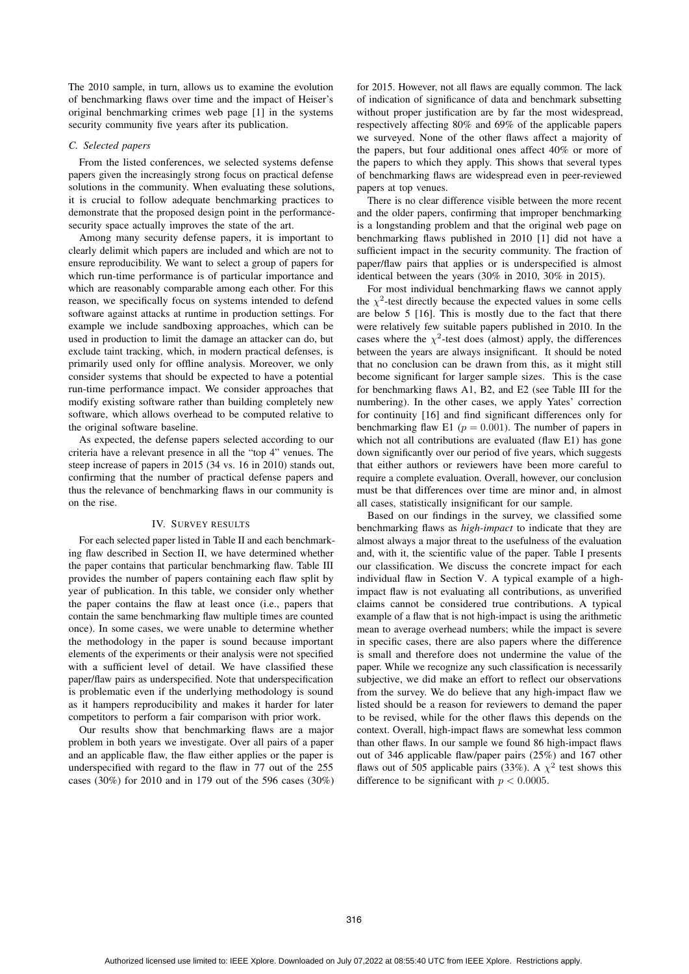The 2010 sample, in turn, allows us to examine the evolution of benchmarking flaws over time and the impact of Heiser's original benchmarking crimes web page [1] in the systems security community five years after its publication.

# *C. Selected papers*

From the listed conferences, we selected systems defense papers given the increasingly strong focus on practical defense solutions in the community. When evaluating these solutions, it is crucial to follow adequate benchmarking practices to demonstrate that the proposed design point in the performancesecurity space actually improves the state of the art.

Among many security defense papers, it is important to clearly delimit which papers are included and which are not to ensure reproducibility. We want to select a group of papers for which run-time performance is of particular importance and which are reasonably comparable among each other. For this reason, we specifically focus on systems intended to defend software against attacks at runtime in production settings. For example we include sandboxing approaches, which can be used in production to limit the damage an attacker can do, but exclude taint tracking, which, in modern practical defenses, is primarily used only for offline analysis. Moreover, we only consider systems that should be expected to have a potential run-time performance impact. We consider approaches that modify existing software rather than building completely new software, which allows overhead to be computed relative to the original software baseline.

As expected, the defense papers selected according to our criteria have a relevant presence in all the "top 4" venues. The steep increase of papers in 2015 (34 vs. 16 in 2010) stands out, confirming that the number of practical defense papers and thus the relevance of benchmarking flaws in our community is on the rise.

# IV. SURVEY RESULTS

For each selected paper listed in Table II and each benchmarking flaw described in Section II, we have determined whether the paper contains that particular benchmarking flaw. Table III provides the number of papers containing each flaw split by year of publication. In this table, we consider only whether the paper contains the flaw at least once (i.e., papers that contain the same benchmarking flaw multiple times are counted once). In some cases, we were unable to determine whether the methodology in the paper is sound because important elements of the experiments or their analysis were not specified with a sufficient level of detail. We have classified these paper/flaw pairs as underspecified. Note that underspecification is problematic even if the underlying methodology is sound as it hampers reproducibility and makes it harder for later competitors to perform a fair comparison with prior work.

Our results show that benchmarking flaws are a major problem in both years we investigate. Over all pairs of a paper and an applicable flaw, the flaw either applies or the paper is underspecified with regard to the flaw in 77 out of the 255 cases (30%) for 2010 and in 179 out of the 596 cases (30%) for 2015. However, not all flaws are equally common. The lack of indication of significance of data and benchmark subsetting without proper justification are by far the most widespread, respectively affecting 80% and 69% of the applicable papers we surveyed. None of the other flaws affect a majority of the papers, but four additional ones affect 40% or more of the papers to which they apply. This shows that several types of benchmarking flaws are widespread even in peer-reviewed papers at top venues.

There is no clear difference visible between the more recent and the older papers, confirming that improper benchmarking is a longstanding problem and that the original web page on benchmarking flaws published in 2010 [1] did not have a sufficient impact in the security community. The fraction of paper/flaw pairs that applies or is underspecified is almost identical between the years (30% in 2010, 30% in 2015).

For most individual benchmarking flaws we cannot apply the  $\chi^2$ -test directly because the expected values in some cells are below 5 [16]. This is mostly due to the fact that there were relatively few suitable papers published in 2010. In the cases where the  $\chi^2$ -test does (almost) apply, the differences between the years are always insignificant. It should be noted that no conclusion can be drawn from this, as it might still become significant for larger sample sizes. This is the case for benchmarking flaws A1, B2, and E2 (see Table III for the numbering). In the other cases, we apply Yates' correction for continuity [16] and find significant differences only for benchmarking flaw E1 ( $p = 0.001$ ). The number of papers in which not all contributions are evaluated (flaw E1) has gone down significantly over our period of five years, which suggests that either authors or reviewers have been more careful to require a complete evaluation. Overall, however, our conclusion must be that differences over time are minor and, in almost all cases, statistically insignificant for our sample.

Based on our findings in the survey, we classified some benchmarking flaws as *high-impact* to indicate that they are almost always a major threat to the usefulness of the evaluation and, with it, the scientific value of the paper. Table I presents our classification. We discuss the concrete impact for each individual flaw in Section V. A typical example of a highimpact flaw is not evaluating all contributions, as unverified claims cannot be considered true contributions. A typical example of a flaw that is not high-impact is using the arithmetic mean to average overhead numbers; while the impact is severe in specific cases, there are also papers where the difference is small and therefore does not undermine the value of the paper. While we recognize any such classification is necessarily subjective, we did make an effort to reflect our observations from the survey. We do believe that any high-impact flaw we listed should be a reason for reviewers to demand the paper to be revised, while for the other flaws this depends on the context. Overall, high-impact flaws are somewhat less common than other flaws. In our sample we found 86 high-impact flaws out of 346 applicable flaw/paper pairs (25%) and 167 other flaws out of 505 applicable pairs (33%). A  $\chi^2$  test shows this difference to be significant with  $p < 0.0005$ .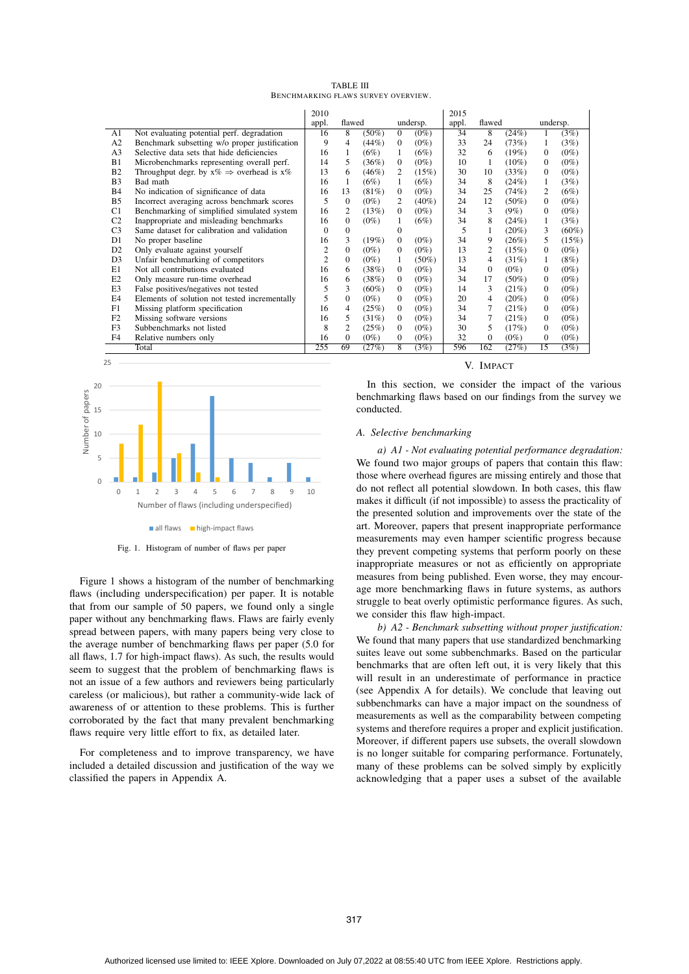| <b>TABLE III</b>                    |  |  |  |  |  |  |  |  |
|-------------------------------------|--|--|--|--|--|--|--|--|
| BENCHMARKING FLAWS SURVEY OVERVIEW. |  |  |  |  |  |  |  |  |

|                |                                                         | 2010           |                           |          |                |          | 2015  |                |          |          |          |
|----------------|---------------------------------------------------------|----------------|---------------------------|----------|----------------|----------|-------|----------------|----------|----------|----------|
|                |                                                         | appl.          | flawed                    |          |                | undersp. | appl. | flawed         |          | undersp. |          |
| A1             | Not evaluating potential perf. degradation              | 16             | 8<br>$(50\%)$<br>$\Omega$ |          | $(0\%)$        | 34       | 8     | (24%)          |          | (3%)     |          |
| A2             | Benchmark subsetting w/o proper justification           | 9              | 4                         | (44%)    | $\Omega$       | $(0\%)$  | 33    | 24             | (73%)    | 1        | (3%)     |
| A <sub>3</sub> | Selective data sets that hide deficiencies              | 16             | 1                         | (6%)     | 1              | (6%)     | 32    | 6              | (19%)    | $\Omega$ | $(0\%)$  |
| B1             | Microbenchmarks representing overall perf.              | 14             | 5                         | (36%)    | $\mathbf{0}$   | $(0\%)$  | 10    | 1              | $(10\%)$ | 0        | $(0\%)$  |
| B <sub>2</sub> | Throughput degr. by $x\% \Rightarrow$ overhead is $x\%$ | 13             | 6                         | (46%)    | 2              | (15%)    | 30    | 10             | (33%)    | 0        | $(0\%)$  |
| B <sub>3</sub> | Bad math                                                | 16             | 1                         | (6%)     | 1              | (6%)     | 34    | 8              | (24%)    | 1        | (3%)     |
| <b>B</b> 4     | No indication of significance of data                   | 16             | 13                        | $(81\%)$ | $\mathbf{0}$   | $(0\%)$  | 34    | 25             | (74%)    | 2        | (6%)     |
| B5             | Incorrect averaging across benchmark scores             | 5              | $\Omega$                  | $(0\%)$  | 2              | $(40\%)$ | 24    | 12             | $(50\%)$ | 0        | $(0\%)$  |
| C1             | Benchmarking of simplified simulated system             | 16             | 2                         | (13%)    | $\Omega$       | $(0\%)$  | 34    | 3              | $(9\%)$  | 0        | $(0\%)$  |
| C <sub>2</sub> | Inappropriate and misleading benchmarks                 | 16             | $\Omega$                  | $(0\%)$  |                | (6%)     | 34    | 8              | (24%)    | 1        | (3%)     |
| C <sub>3</sub> | Same dataset for calibration and validation             | 0              | $\Omega$                  |          | $\Omega$       |          | 5     |                | $(20\%)$ | 3        | $(60\%)$ |
| D <sub>1</sub> | No proper baseline                                      | 16             | 3                         | (19%)    | $\overline{0}$ | $(0\%)$  | 34    | 9              | (26%)    | 5        | (15%)    |
| D <sub>2</sub> | Only evaluate against yourself                          | 2              | $\Omega$                  | $(0\%)$  | $\Omega$       | $(0\%)$  | 13    | $\overline{c}$ | (15%)    | 0        | $(0\%)$  |
| D <sub>3</sub> | Unfair benchmarking of competitors                      | $\overline{2}$ | $\Omega$                  | $(0\%)$  | 1              | $(50\%)$ | 13    | 4              | (31%)    | 1        | (8%)     |
| E1             | Not all contributions evaluated                         | 16             | 6                         | (38%)    | $\Omega$       | $(0\%)$  | 34    | $\Omega$       | $(0\%)$  | 0        | $(0\%)$  |
| E2             | Only measure run-time overhead                          | 16             | 6                         | (38%)    | $\Omega$       | $(0\%)$  | 34    | 17             | $(50\%)$ | 0        | $(0\%)$  |
| E <sub>3</sub> | False positives/negatives not tested                    | 5              | 3                         | $(60\%)$ | $\Omega$       | $(0\%)$  | 14    | 3              | (21%)    | 0        | $(0\%)$  |
| E <sub>4</sub> | Elements of solution not tested incrementally           | 5              | $\Omega$                  | $(0\%)$  | 0              | $(0\%)$  | 20    | 4              | $(20\%)$ | 0        | $(0\%)$  |
| F1             | Missing platform specification                          | 16             | 4                         | (25%)    | $\overline{0}$ | $(0\%)$  | 34    |                | (21%)    | 0        | $(0\%)$  |
| F <sub>2</sub> | Missing software versions                               | 16             | 5                         | (31%)    | $\mathbf{0}$   | $(0\%)$  | 34    |                | (21%)    | 0        | $(0\%)$  |
| F <sub>3</sub> | Subbenchmarks not listed                                | 8              | 2                         | (25%)    | 0              | $(0\%)$  | 30    | 5              | (17%)    | 0        | $(0\%)$  |
| F <sub>4</sub> | Relative numbers only                                   | 16             | $\Omega$                  | $(0\%)$  | 0              | $(0\%)$  | 32    | $\Omega$       | $(0\%)$  | 0        | $(0\%)$  |
|                | Total                                                   | 255            | 69                        | (27%)    | $\overline{8}$ | (3%)     | 596   | 162            | (27%)    | 15       | (3%)     |



Fig. 1. Histogram of number of flaws per paper

Figure 1 shows a histogram of the number of benchmarking flaws (including underspecification) per paper. It is notable that from our sample of 50 papers, we found only a single paper without any benchmarking flaws. Flaws are fairly evenly spread between papers, with many papers being very close to the average number of benchmarking flaws per paper (5.0 for all flaws, 1.7 for high-impact flaws). As such, the results would seem to suggest that the problem of benchmarking flaws is not an issue of a few authors and reviewers being particularly careless (or malicious), but rather a community-wide lack of awareness of or attention to these problems. This is further corroborated by the fact that many prevalent benchmarking flaws require very little effort to fix, as detailed later.

For completeness and to improve transparency, we have included a detailed discussion and justification of the way we classified the papers in Appendix A.

# V. IMPACT

In this section, we consider the impact of the various benchmarking flaws based on our findings from the survey we conducted.

# *A. Selective benchmarking*

*a) A1 - Not evaluating potential performance degradation:* We found two major groups of papers that contain this flaw: those where overhead figures are missing entirely and those that do not reflect all potential slowdown. In both cases, this flaw makes it difficult (if not impossible) to assess the practicality of the presented solution and improvements over the state of the art. Moreover, papers that present inappropriate performance measurements may even hamper scientific progress because they prevent competing systems that perform poorly on these inappropriate measures or not as efficiently on appropriate measures from being published. Even worse, they may encourage more benchmarking flaws in future systems, as authors struggle to beat overly optimistic performance figures. As such, we consider this flaw high-impact.

*b) A2 - Benchmark subsetting without proper justification:* We found that many papers that use standardized benchmarking suites leave out some subbenchmarks. Based on the particular benchmarks that are often left out, it is very likely that this will result in an underestimate of performance in practice (see Appendix A for details). We conclude that leaving out subbenchmarks can have a major impact on the soundness of measurements as well as the comparability between competing systems and therefore requires a proper and explicit justification. Moreover, if different papers use subsets, the overall slowdown is no longer suitable for comparing performance. Fortunately, many of these problems can be solved simply by explicitly acknowledging that a paper uses a subset of the available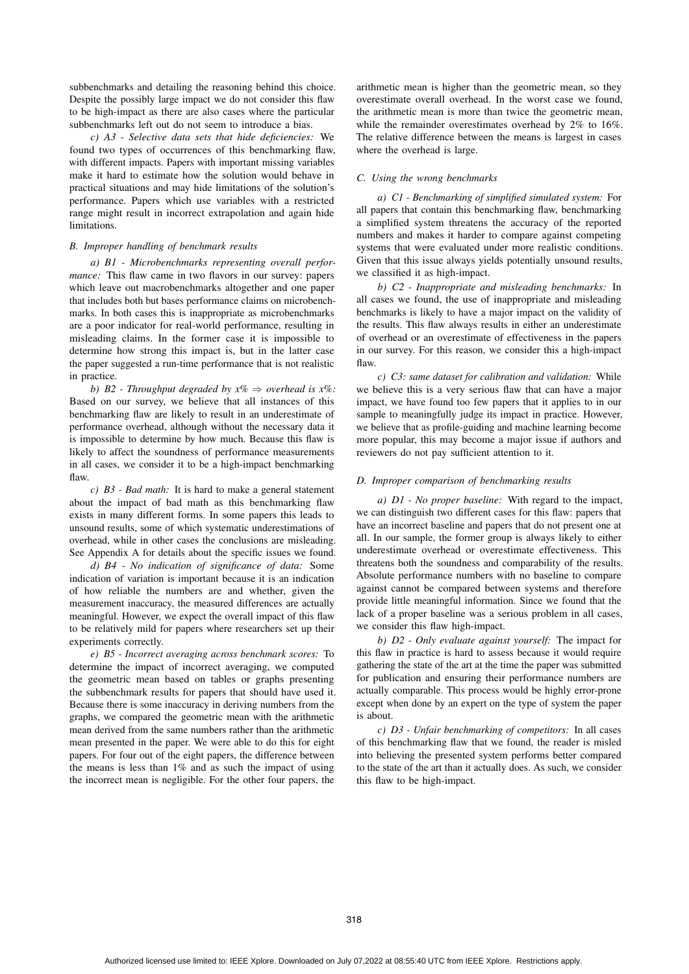subbenchmarks and detailing the reasoning behind this choice. Despite the possibly large impact we do not consider this flaw to be high-impact as there are also cases where the particular subbenchmarks left out do not seem to introduce a bias.

*c) A3 - Selective data sets that hide deficiencies:* We found two types of occurrences of this benchmarking flaw, with different impacts. Papers with important missing variables make it hard to estimate how the solution would behave in practical situations and may hide limitations of the solution's performance. Papers which use variables with a restricted range might result in incorrect extrapolation and again hide limitations.

# *B. Improper handling of benchmark results*

*a) B1 - Microbenchmarks representing overall performance*: This flaw came in two flavors in our survey: papers which leave out macrobenchmarks altogether and one paper that includes both but bases performance claims on microbenchmarks. In both cases this is inappropriate as microbenchmarks are a poor indicator for real-world performance, resulting in misleading claims. In the former case it is impossible to determine how strong this impact is, but in the latter case the paper suggested a run-time performance that is not realistic in practice.

*b)* B2 - Throughput degraded by  $x\% \Rightarrow$  overhead is  $x\%$ : Based on our survey, we believe that all instances of this benchmarking flaw are likely to result in an underestimate of performance overhead, although without the necessary data it is impossible to determine by how much. Because this flaw is likely to affect the soundness of performance measurements in all cases, we consider it to be a high-impact benchmarking flaw.

*c) B3 - Bad math:* It is hard to make a general statement about the impact of bad math as this benchmarking flaw exists in many different forms. In some papers this leads to unsound results, some of which systematic underestimations of overhead, while in other cases the conclusions are misleading. See Appendix A for details about the specific issues we found.

*d) B4 - No indication of significance of data:* Some indication of variation is important because it is an indication of how reliable the numbers are and whether, given the measurement inaccuracy, the measured differences are actually meaningful. However, we expect the overall impact of this flaw to be relatively mild for papers where researchers set up their experiments correctly.

*e) B5 - Incorrect averaging across benchmark scores:* To determine the impact of incorrect averaging, we computed the geometric mean based on tables or graphs presenting the subbenchmark results for papers that should have used it. Because there is some inaccuracy in deriving numbers from the graphs, we compared the geometric mean with the arithmetic mean derived from the same numbers rather than the arithmetic mean presented in the paper. We were able to do this for eight papers. For four out of the eight papers, the difference between the means is less than  $1\%$  and as such the impact of using the incorrect mean is negligible. For the other four papers, the

arithmetic mean is higher than the geometric mean, so they overestimate overall overhead. In the worst case we found, the arithmetic mean is more than twice the geometric mean, while the remainder overestimates overhead by 2% to 16%. The relative difference between the means is largest in cases where the overhead is large.

#### *C. Using the wrong benchmarks*

*a) C1 - Benchmarking of simplified simulated system:* For all papers that contain this benchmarking flaw, benchmarking a simplified system threatens the accuracy of the reported numbers and makes it harder to compare against competing systems that were evaluated under more realistic conditions. Given that this issue always yields potentially unsound results, we classified it as high-impact.

*b) C2 - Inappropriate and misleading benchmarks:* In all cases we found, the use of inappropriate and misleading benchmarks is likely to have a major impact on the validity of the results. This flaw always results in either an underestimate of overhead or an overestimate of effectiveness in the papers in our survey. For this reason, we consider this a high-impact flaw.

*c) C3: same dataset for calibration and validation:* While we believe this is a very serious flaw that can have a major impact, we have found too few papers that it applies to in our sample to meaningfully judge its impact in practice. However, we believe that as profile-guiding and machine learning become more popular, this may become a major issue if authors and reviewers do not pay sufficient attention to it.

#### *D. Improper comparison of benchmarking results*

*a) D1 - No proper baseline:* With regard to the impact, we can distinguish two different cases for this flaw: papers that have an incorrect baseline and papers that do not present one at all. In our sample, the former group is always likely to either underestimate overhead or overestimate effectiveness. This threatens both the soundness and comparability of the results. Absolute performance numbers with no baseline to compare against cannot be compared between systems and therefore provide little meaningful information. Since we found that the lack of a proper baseline was a serious problem in all cases, we consider this flaw high-impact.

*b) D2 - Only evaluate against yourself:* The impact for this flaw in practice is hard to assess because it would require gathering the state of the art at the time the paper was submitted for publication and ensuring their performance numbers are actually comparable. This process would be highly error-prone except when done by an expert on the type of system the paper is about.

*c) D3 - Unfair benchmarking of competitors:* In all cases of this benchmarking flaw that we found, the reader is misled into believing the presented system performs better compared to the state of the art than it actually does. As such, we consider this flaw to be high-impact.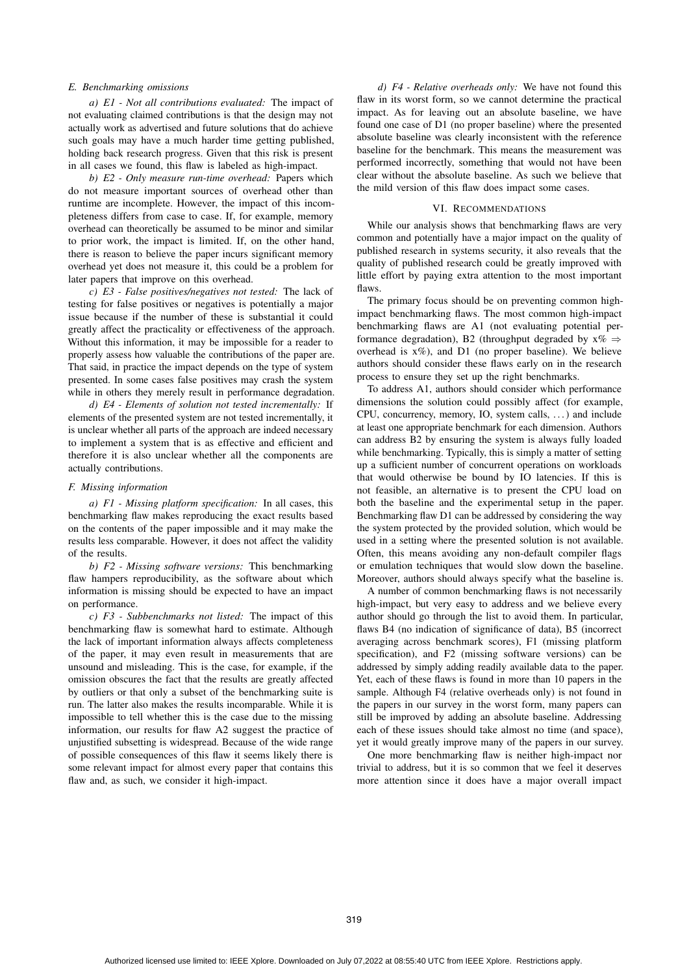## *E. Benchmarking omissions*

*a) E1 - Not all contributions evaluated:* The impact of not evaluating claimed contributions is that the design may not actually work as advertised and future solutions that do achieve such goals may have a much harder time getting published, holding back research progress. Given that this risk is present in all cases we found, this flaw is labeled as high-impact.

*b) E2 - Only measure run-time overhead:* Papers which do not measure important sources of overhead other than runtime are incomplete. However, the impact of this incompleteness differs from case to case. If, for example, memory overhead can theoretically be assumed to be minor and similar to prior work, the impact is limited. If, on the other hand, there is reason to believe the paper incurs significant memory overhead yet does not measure it, this could be a problem for later papers that improve on this overhead.

*c) E3 - False positives/negatives not tested:* The lack of testing for false positives or negatives is potentially a major issue because if the number of these is substantial it could greatly affect the practicality or effectiveness of the approach. Without this information, it may be impossible for a reader to properly assess how valuable the contributions of the paper are. That said, in practice the impact depends on the type of system presented. In some cases false positives may crash the system while in others they merely result in performance degradation.

*d) E4 - Elements of solution not tested incrementally:* If elements of the presented system are not tested incrementally, it is unclear whether all parts of the approach are indeed necessary to implement a system that is as effective and efficient and therefore it is also unclear whether all the components are actually contributions.

# *F. Missing information*

*a) F1 - Missing platform specification:* In all cases, this benchmarking flaw makes reproducing the exact results based on the contents of the paper impossible and it may make the results less comparable. However, it does not affect the validity of the results.

*b) F2 - Missing software versions:* This benchmarking flaw hampers reproducibility, as the software about which information is missing should be expected to have an impact on performance.

*c) F3 - Subbenchmarks not listed:* The impact of this benchmarking flaw is somewhat hard to estimate. Although the lack of important information always affects completeness of the paper, it may even result in measurements that are unsound and misleading. This is the case, for example, if the omission obscures the fact that the results are greatly affected by outliers or that only a subset of the benchmarking suite is run. The latter also makes the results incomparable. While it is impossible to tell whether this is the case due to the missing information, our results for flaw A2 suggest the practice of unjustified subsetting is widespread. Because of the wide range of possible consequences of this flaw it seems likely there is some relevant impact for almost every paper that contains this flaw and, as such, we consider it high-impact.

*d) F4 - Relative overheads only:* We have not found this flaw in its worst form, so we cannot determine the practical impact. As for leaving out an absolute baseline, we have found one case of D1 (no proper baseline) where the presented absolute baseline was clearly inconsistent with the reference baseline for the benchmark. This means the measurement was performed incorrectly, something that would not have been clear without the absolute baseline. As such we believe that the mild version of this flaw does impact some cases.

# VI. RECOMMENDATIONS

While our analysis shows that benchmarking flaws are very common and potentially have a major impact on the quality of published research in systems security, it also reveals that the quality of published research could be greatly improved with little effort by paying extra attention to the most important flaws.

The primary focus should be on preventing common highimpact benchmarking flaws. The most common high-impact benchmarking flaws are A1 (not evaluating potential performance degradation), B2 (throughput degraded by  $x\% \Rightarrow$ overhead is  $x\%$ ), and D1 (no proper baseline). We believe authors should consider these flaws early on in the research process to ensure they set up the right benchmarks.

To address A1, authors should consider which performance dimensions the solution could possibly affect (for example, CPU, concurrency, memory, IO, system calls, . . . ) and include at least one appropriate benchmark for each dimension. Authors can address B2 by ensuring the system is always fully loaded while benchmarking. Typically, this is simply a matter of setting up a sufficient number of concurrent operations on workloads that would otherwise be bound by IO latencies. If this is not feasible, an alternative is to present the CPU load on both the baseline and the experimental setup in the paper. Benchmarking flaw D1 can be addressed by considering the way the system protected by the provided solution, which would be used in a setting where the presented solution is not available. Often, this means avoiding any non-default compiler flags or emulation techniques that would slow down the baseline. Moreover, authors should always specify what the baseline is.

A number of common benchmarking flaws is not necessarily high-impact, but very easy to address and we believe every author should go through the list to avoid them. In particular, flaws B4 (no indication of significance of data), B5 (incorrect averaging across benchmark scores), F1 (missing platform specification), and F2 (missing software versions) can be addressed by simply adding readily available data to the paper. Yet, each of these flaws is found in more than 10 papers in the sample. Although F4 (relative overheads only) is not found in the papers in our survey in the worst form, many papers can still be improved by adding an absolute baseline. Addressing each of these issues should take almost no time (and space), yet it would greatly improve many of the papers in our survey.

One more benchmarking flaw is neither high-impact nor trivial to address, but it is so common that we feel it deserves more attention since it does have a major overall impact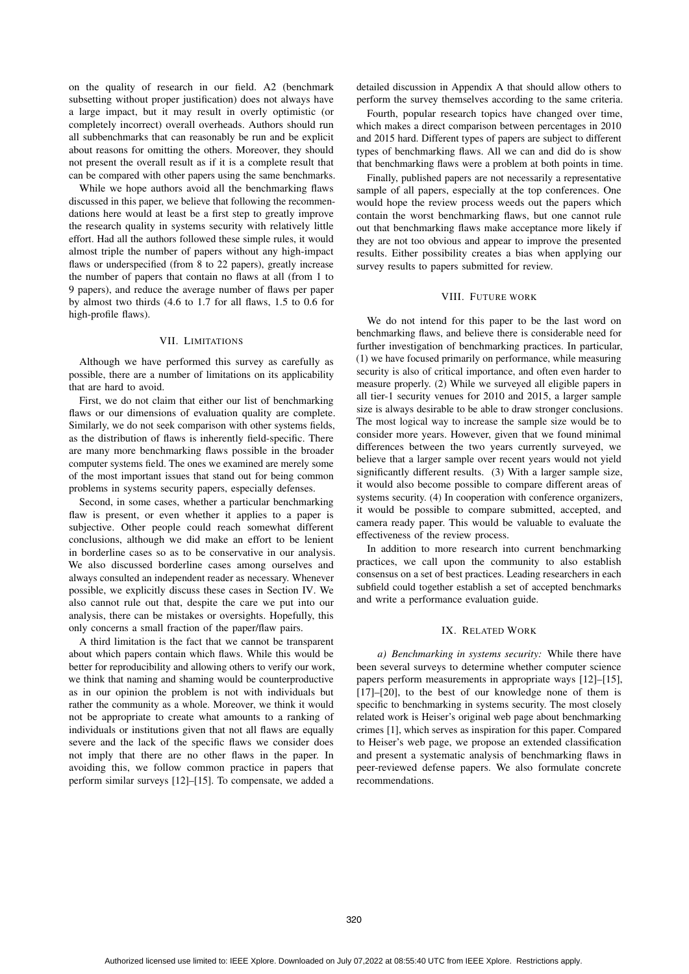on the quality of research in our field. A2 (benchmark subsetting without proper justification) does not always have a large impact, but it may result in overly optimistic (or completely incorrect) overall overheads. Authors should run all subbenchmarks that can reasonably be run and be explicit about reasons for omitting the others. Moreover, they should not present the overall result as if it is a complete result that can be compared with other papers using the same benchmarks.

While we hope authors avoid all the benchmarking flaws discussed in this paper, we believe that following the recommendations here would at least be a first step to greatly improve the research quality in systems security with relatively little effort. Had all the authors followed these simple rules, it would almost triple the number of papers without any high-impact flaws or underspecified (from 8 to 22 papers), greatly increase the number of papers that contain no flaws at all (from 1 to 9 papers), and reduce the average number of flaws per paper by almost two thirds (4.6 to 1.7 for all flaws, 1.5 to 0.6 for high-profile flaws).

# VII. LIMITATIONS

Although we have performed this survey as carefully as possible, there are a number of limitations on its applicability that are hard to avoid.

First, we do not claim that either our list of benchmarking flaws or our dimensions of evaluation quality are complete. Similarly, we do not seek comparison with other systems fields, as the distribution of flaws is inherently field-specific. There are many more benchmarking flaws possible in the broader computer systems field. The ones we examined are merely some of the most important issues that stand out for being common problems in systems security papers, especially defenses.

Second, in some cases, whether a particular benchmarking flaw is present, or even whether it applies to a paper is subjective. Other people could reach somewhat different conclusions, although we did make an effort to be lenient in borderline cases so as to be conservative in our analysis. We also discussed borderline cases among ourselves and always consulted an independent reader as necessary. Whenever possible, we explicitly discuss these cases in Section IV. We also cannot rule out that, despite the care we put into our analysis, there can be mistakes or oversights. Hopefully, this only concerns a small fraction of the paper/flaw pairs.

A third limitation is the fact that we cannot be transparent about which papers contain which flaws. While this would be better for reproducibility and allowing others to verify our work, we think that naming and shaming would be counterproductive as in our opinion the problem is not with individuals but rather the community as a whole. Moreover, we think it would not be appropriate to create what amounts to a ranking of individuals or institutions given that not all flaws are equally severe and the lack of the specific flaws we consider does not imply that there are no other flaws in the paper. In avoiding this, we follow common practice in papers that perform similar surveys [12]–[15]. To compensate, we added a

detailed discussion in Appendix A that should allow others to perform the survey themselves according to the same criteria.

Fourth, popular research topics have changed over time, which makes a direct comparison between percentages in 2010 and 2015 hard. Different types of papers are subject to different types of benchmarking flaws. All we can and did do is show that benchmarking flaws were a problem at both points in time.

Finally, published papers are not necessarily a representative sample of all papers, especially at the top conferences. One would hope the review process weeds out the papers which contain the worst benchmarking flaws, but one cannot rule out that benchmarking flaws make acceptance more likely if they are not too obvious and appear to improve the presented results. Either possibility creates a bias when applying our survey results to papers submitted for review.

# VIII. FUTURE WORK

We do not intend for this paper to be the last word on benchmarking flaws, and believe there is considerable need for further investigation of benchmarking practices. In particular, (1) we have focused primarily on performance, while measuring security is also of critical importance, and often even harder to measure properly. (2) While we surveyed all eligible papers in all tier-1 security venues for 2010 and 2015, a larger sample size is always desirable to be able to draw stronger conclusions. The most logical way to increase the sample size would be to consider more years. However, given that we found minimal differences between the two years currently surveyed, we believe that a larger sample over recent years would not yield significantly different results. (3) With a larger sample size, it would also become possible to compare different areas of systems security. (4) In cooperation with conference organizers, it would be possible to compare submitted, accepted, and camera ready paper. This would be valuable to evaluate the effectiveness of the review process.

In addition to more research into current benchmarking practices, we call upon the community to also establish consensus on a set of best practices. Leading researchers in each subfield could together establish a set of accepted benchmarks and write a performance evaluation guide.

# IX. RELATED WORK

*a) Benchmarking in systems security:* While there have been several surveys to determine whether computer science papers perform measurements in appropriate ways [12]–[15], [17]–[20], to the best of our knowledge none of them is specific to benchmarking in systems security. The most closely related work is Heiser's original web page about benchmarking crimes [1], which serves as inspiration for this paper. Compared to Heiser's web page, we propose an extended classification and present a systematic analysis of benchmarking flaws in peer-reviewed defense papers. We also formulate concrete recommendations.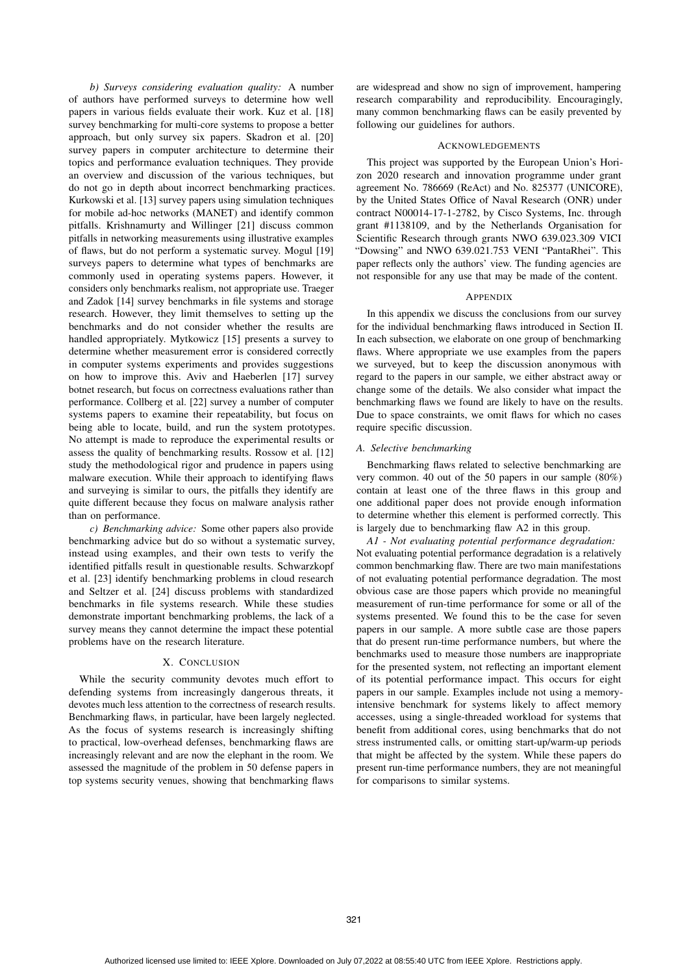*b) Surveys considering evaluation quality:* A number of authors have performed surveys to determine how well papers in various fields evaluate their work. Kuz et al. [18] survey benchmarking for multi-core systems to propose a better approach, but only survey six papers. Skadron et al. [20] survey papers in computer architecture to determine their topics and performance evaluation techniques. They provide an overview and discussion of the various techniques, but do not go in depth about incorrect benchmarking practices. Kurkowski et al. [13] survey papers using simulation techniques for mobile ad-hoc networks (MANET) and identify common pitfalls. Krishnamurty and Willinger [21] discuss common pitfalls in networking measurements using illustrative examples of flaws, but do not perform a systematic survey. Mogul [19] surveys papers to determine what types of benchmarks are commonly used in operating systems papers. However, it considers only benchmarks realism, not appropriate use. Traeger and Zadok [14] survey benchmarks in file systems and storage research. However, they limit themselves to setting up the benchmarks and do not consider whether the results are handled appropriately. Mytkowicz [15] presents a survey to determine whether measurement error is considered correctly in computer systems experiments and provides suggestions on how to improve this. Aviv and Haeberlen [17] survey botnet research, but focus on correctness evaluations rather than performance. Collberg et al. [22] survey a number of computer systems papers to examine their repeatability, but focus on being able to locate, build, and run the system prototypes. No attempt is made to reproduce the experimental results or assess the quality of benchmarking results. Rossow et al. [12] study the methodological rigor and prudence in papers using malware execution. While their approach to identifying flaws and surveying is similar to ours, the pitfalls they identify are quite different because they focus on malware analysis rather than on performance.

*c) Benchmarking advice:* Some other papers also provide benchmarking advice but do so without a systematic survey, instead using examples, and their own tests to verify the identified pitfalls result in questionable results. Schwarzkopf et al. [23] identify benchmarking problems in cloud research and Seltzer et al. [24] discuss problems with standardized benchmarks in file systems research. While these studies demonstrate important benchmarking problems, the lack of a survey means they cannot determine the impact these potential problems have on the research literature.

## X. CONCLUSION

While the security community devotes much effort to defending systems from increasingly dangerous threats, it devotes much less attention to the correctness of research results. Benchmarking flaws, in particular, have been largely neglected. As the focus of systems research is increasingly shifting to practical, low-overhead defenses, benchmarking flaws are increasingly relevant and are now the elephant in the room. We assessed the magnitude of the problem in 50 defense papers in top systems security venues, showing that benchmarking flaws

are widespread and show no sign of improvement, hampering research comparability and reproducibility. Encouragingly, many common benchmarking flaws can be easily prevented by following our guidelines for authors.

# ACKNOWLEDGEMENTS

This project was supported by the European Union's Horizon 2020 research and innovation programme under grant agreement No. 786669 (ReAct) and No. 825377 (UNICORE), by the United States Office of Naval Research (ONR) under contract N00014-17-1-2782, by Cisco Systems, Inc. through grant #1138109, and by the Netherlands Organisation for Scientific Research through grants NWO 639.023.309 VICI "Dowsing" and NWO 639.021.753 VENI "PantaRhei". This paper reflects only the authors' view. The funding agencies are not responsible for any use that may be made of the content.

#### APPENDIX

In this appendix we discuss the conclusions from our survey for the individual benchmarking flaws introduced in Section II. In each subsection, we elaborate on one group of benchmarking flaws. Where appropriate we use examples from the papers we surveyed, but to keep the discussion anonymous with regard to the papers in our sample, we either abstract away or change some of the details. We also consider what impact the benchmarking flaws we found are likely to have on the results. Due to space constraints, we omit flaws for which no cases require specific discussion.

# *A. Selective benchmarking*

Benchmarking flaws related to selective benchmarking are very common. 40 out of the 50 papers in our sample (80%) contain at least one of the three flaws in this group and one additional paper does not provide enough information to determine whether this element is performed correctly. This is largely due to benchmarking flaw A2 in this group.

*A1 - Not evaluating potential performance degradation:* Not evaluating potential performance degradation is a relatively common benchmarking flaw. There are two main manifestations of not evaluating potential performance degradation. The most obvious case are those papers which provide no meaningful measurement of run-time performance for some or all of the systems presented. We found this to be the case for seven papers in our sample. A more subtle case are those papers that do present run-time performance numbers, but where the benchmarks used to measure those numbers are inappropriate for the presented system, not reflecting an important element of its potential performance impact. This occurs for eight papers in our sample. Examples include not using a memoryintensive benchmark for systems likely to affect memory accesses, using a single-threaded workload for systems that benefit from additional cores, using benchmarks that do not stress instrumented calls, or omitting start-up/warm-up periods that might be affected by the system. While these papers do present run-time performance numbers, they are not meaningful for comparisons to similar systems.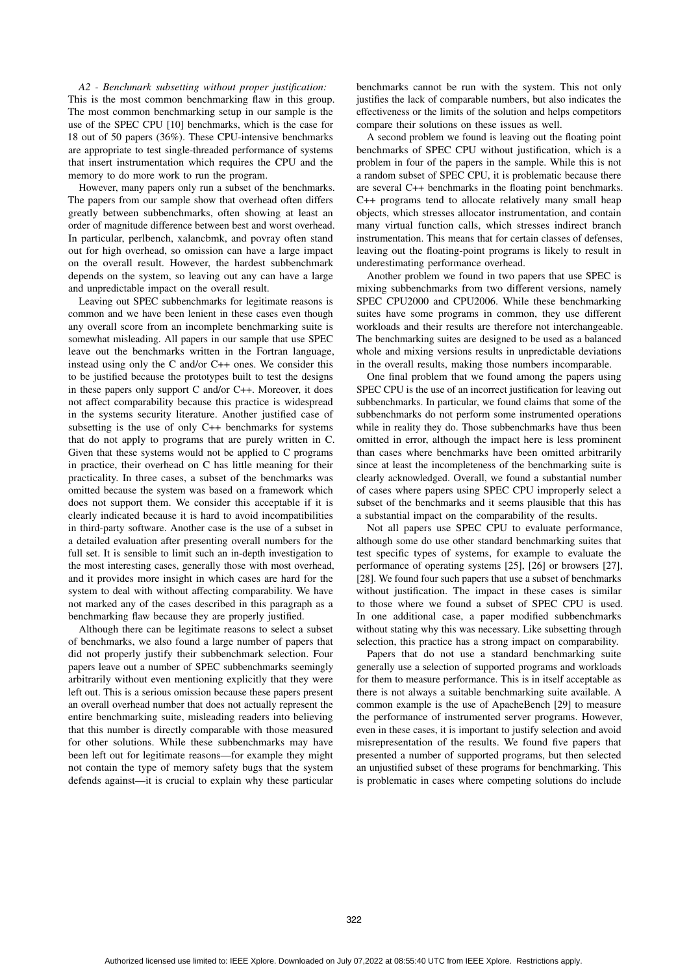*A2 - Benchmark subsetting without proper justification:* This is the most common benchmarking flaw in this group. The most common benchmarking setup in our sample is the use of the SPEC CPU [10] benchmarks, which is the case for 18 out of 50 papers (36%). These CPU-intensive benchmarks are appropriate to test single-threaded performance of systems that insert instrumentation which requires the CPU and the memory to do more work to run the program.

However, many papers only run a subset of the benchmarks. The papers from our sample show that overhead often differs greatly between subbenchmarks, often showing at least an order of magnitude difference between best and worst overhead. In particular, perlbench, xalancbmk, and povray often stand out for high overhead, so omission can have a large impact on the overall result. However, the hardest subbenchmark depends on the system, so leaving out any can have a large and unpredictable impact on the overall result.

Leaving out SPEC subbenchmarks for legitimate reasons is common and we have been lenient in these cases even though any overall score from an incomplete benchmarking suite is somewhat misleading. All papers in our sample that use SPEC leave out the benchmarks written in the Fortran language, instead using only the C and/or C++ ones. We consider this to be justified because the prototypes built to test the designs in these papers only support C and/or C++. Moreover, it does not affect comparability because this practice is widespread in the systems security literature. Another justified case of subsetting is the use of only C++ benchmarks for systems that do not apply to programs that are purely written in C. Given that these systems would not be applied to C programs in practice, their overhead on C has little meaning for their practicality. In three cases, a subset of the benchmarks was omitted because the system was based on a framework which does not support them. We consider this acceptable if it is clearly indicated because it is hard to avoid incompatibilities in third-party software. Another case is the use of a subset in a detailed evaluation after presenting overall numbers for the full set. It is sensible to limit such an in-depth investigation to the most interesting cases, generally those with most overhead, and it provides more insight in which cases are hard for the system to deal with without affecting comparability. We have not marked any of the cases described in this paragraph as a benchmarking flaw because they are properly justified.

Although there can be legitimate reasons to select a subset of benchmarks, we also found a large number of papers that did not properly justify their subbenchmark selection. Four papers leave out a number of SPEC subbenchmarks seemingly arbitrarily without even mentioning explicitly that they were left out. This is a serious omission because these papers present an overall overhead number that does not actually represent the entire benchmarking suite, misleading readers into believing that this number is directly comparable with those measured for other solutions. While these subbenchmarks may have been left out for legitimate reasons—for example they might not contain the type of memory safety bugs that the system defends against—it is crucial to explain why these particular

benchmarks cannot be run with the system. This not only justifies the lack of comparable numbers, but also indicates the effectiveness or the limits of the solution and helps competitors compare their solutions on these issues as well.

A second problem we found is leaving out the floating point benchmarks of SPEC CPU without justification, which is a problem in four of the papers in the sample. While this is not a random subset of SPEC CPU, it is problematic because there are several C++ benchmarks in the floating point benchmarks. C++ programs tend to allocate relatively many small heap objects, which stresses allocator instrumentation, and contain many virtual function calls, which stresses indirect branch instrumentation. This means that for certain classes of defenses, leaving out the floating-point programs is likely to result in underestimating performance overhead.

Another problem we found in two papers that use SPEC is mixing subbenchmarks from two different versions, namely SPEC CPU2000 and CPU2006. While these benchmarking suites have some programs in common, they use different workloads and their results are therefore not interchangeable. The benchmarking suites are designed to be used as a balanced whole and mixing versions results in unpredictable deviations in the overall results, making those numbers incomparable.

One final problem that we found among the papers using SPEC CPU is the use of an incorrect justification for leaving out subbenchmarks. In particular, we found claims that some of the subbenchmarks do not perform some instrumented operations while in reality they do. Those subbenchmarks have thus been omitted in error, although the impact here is less prominent than cases where benchmarks have been omitted arbitrarily since at least the incompleteness of the benchmarking suite is clearly acknowledged. Overall, we found a substantial number of cases where papers using SPEC CPU improperly select a subset of the benchmarks and it seems plausible that this has a substantial impact on the comparability of the results.

Not all papers use SPEC CPU to evaluate performance, although some do use other standard benchmarking suites that test specific types of systems, for example to evaluate the performance of operating systems [25], [26] or browsers [27], [28]. We found four such papers that use a subset of benchmarks without justification. The impact in these cases is similar to those where we found a subset of SPEC CPU is used. In one additional case, a paper modified subbenchmarks without stating why this was necessary. Like subsetting through selection, this practice has a strong impact on comparability.

Papers that do not use a standard benchmarking suite generally use a selection of supported programs and workloads for them to measure performance. This is in itself acceptable as there is not always a suitable benchmarking suite available. A common example is the use of ApacheBench [29] to measure the performance of instrumented server programs. However, even in these cases, it is important to justify selection and avoid misrepresentation of the results. We found five papers that presented a number of supported programs, but then selected an unjustified subset of these programs for benchmarking. This is problematic in cases where competing solutions do include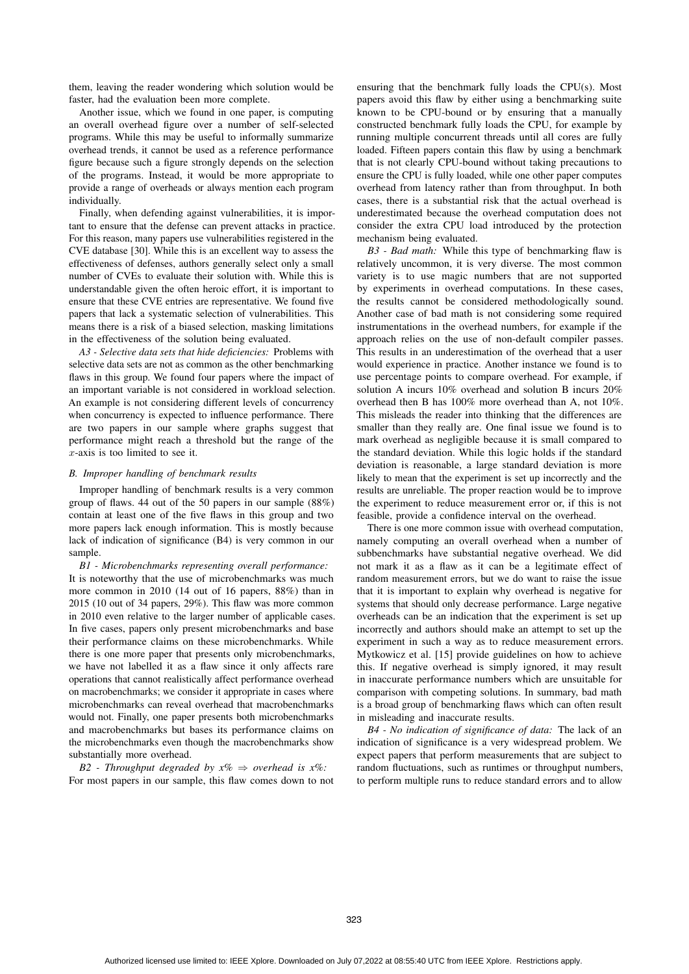them, leaving the reader wondering which solution would be faster, had the evaluation been more complete.

Another issue, which we found in one paper, is computing an overall overhead figure over a number of self-selected programs. While this may be useful to informally summarize overhead trends, it cannot be used as a reference performance figure because such a figure strongly depends on the selection of the programs. Instead, it would be more appropriate to provide a range of overheads or always mention each program individually.

Finally, when defending against vulnerabilities, it is important to ensure that the defense can prevent attacks in practice. For this reason, many papers use vulnerabilities registered in the CVE database [30]. While this is an excellent way to assess the effectiveness of defenses, authors generally select only a small number of CVEs to evaluate their solution with. While this is understandable given the often heroic effort, it is important to ensure that these CVE entries are representative. We found five papers that lack a systematic selection of vulnerabilities. This means there is a risk of a biased selection, masking limitations in the effectiveness of the solution being evaluated.

*A3 - Selective data sets that hide deficiencies:* Problems with selective data sets are not as common as the other benchmarking flaws in this group. We found four papers where the impact of an important variable is not considered in workload selection. An example is not considering different levels of concurrency when concurrency is expected to influence performance. There are two papers in our sample where graphs suggest that performance might reach a threshold but the range of the x-axis is too limited to see it.

# *B. Improper handling of benchmark results*

Improper handling of benchmark results is a very common group of flaws. 44 out of the 50 papers in our sample (88%) contain at least one of the five flaws in this group and two more papers lack enough information. This is mostly because lack of indication of significance (B4) is very common in our sample.

*B1 - Microbenchmarks representing overall performance:* It is noteworthy that the use of microbenchmarks was much more common in 2010 (14 out of 16 papers, 88%) than in 2015 (10 out of 34 papers, 29%). This flaw was more common in 2010 even relative to the larger number of applicable cases. In five cases, papers only present microbenchmarks and base their performance claims on these microbenchmarks. While there is one more paper that presents only microbenchmarks, we have not labelled it as a flaw since it only affects rare operations that cannot realistically affect performance overhead on macrobenchmarks; we consider it appropriate in cases where microbenchmarks can reveal overhead that macrobenchmarks would not. Finally, one paper presents both microbenchmarks and macrobenchmarks but bases its performance claims on the microbenchmarks even though the macrobenchmarks show substantially more overhead.

*B2 - Throughput degraded by x%* ⇒ *overhead is x%:* For most papers in our sample, this flaw comes down to not ensuring that the benchmark fully loads the CPU(s). Most papers avoid this flaw by either using a benchmarking suite known to be CPU-bound or by ensuring that a manually constructed benchmark fully loads the CPU, for example by running multiple concurrent threads until all cores are fully loaded. Fifteen papers contain this flaw by using a benchmark that is not clearly CPU-bound without taking precautions to ensure the CPU is fully loaded, while one other paper computes overhead from latency rather than from throughput. In both cases, there is a substantial risk that the actual overhead is underestimated because the overhead computation does not consider the extra CPU load introduced by the protection mechanism being evaluated.

*B3 - Bad math:* While this type of benchmarking flaw is relatively uncommon, it is very diverse. The most common variety is to use magic numbers that are not supported by experiments in overhead computations. In these cases, the results cannot be considered methodologically sound. Another case of bad math is not considering some required instrumentations in the overhead numbers, for example if the approach relies on the use of non-default compiler passes. This results in an underestimation of the overhead that a user would experience in practice. Another instance we found is to use percentage points to compare overhead. For example, if solution A incurs 10% overhead and solution B incurs 20% overhead then B has 100% more overhead than A, not 10%. This misleads the reader into thinking that the differences are smaller than they really are. One final issue we found is to mark overhead as negligible because it is small compared to the standard deviation. While this logic holds if the standard deviation is reasonable, a large standard deviation is more likely to mean that the experiment is set up incorrectly and the results are unreliable. The proper reaction would be to improve the experiment to reduce measurement error or, if this is not feasible, provide a confidence interval on the overhead.

There is one more common issue with overhead computation, namely computing an overall overhead when a number of subbenchmarks have substantial negative overhead. We did not mark it as a flaw as it can be a legitimate effect of random measurement errors, but we do want to raise the issue that it is important to explain why overhead is negative for systems that should only decrease performance. Large negative overheads can be an indication that the experiment is set up incorrectly and authors should make an attempt to set up the experiment in such a way as to reduce measurement errors. Mytkowicz et al. [15] provide guidelines on how to achieve this. If negative overhead is simply ignored, it may result in inaccurate performance numbers which are unsuitable for comparison with competing solutions. In summary, bad math is a broad group of benchmarking flaws which can often result in misleading and inaccurate results.

*B4 - No indication of significance of data:* The lack of an indication of significance is a very widespread problem. We expect papers that perform measurements that are subject to random fluctuations, such as runtimes or throughput numbers, to perform multiple runs to reduce standard errors and to allow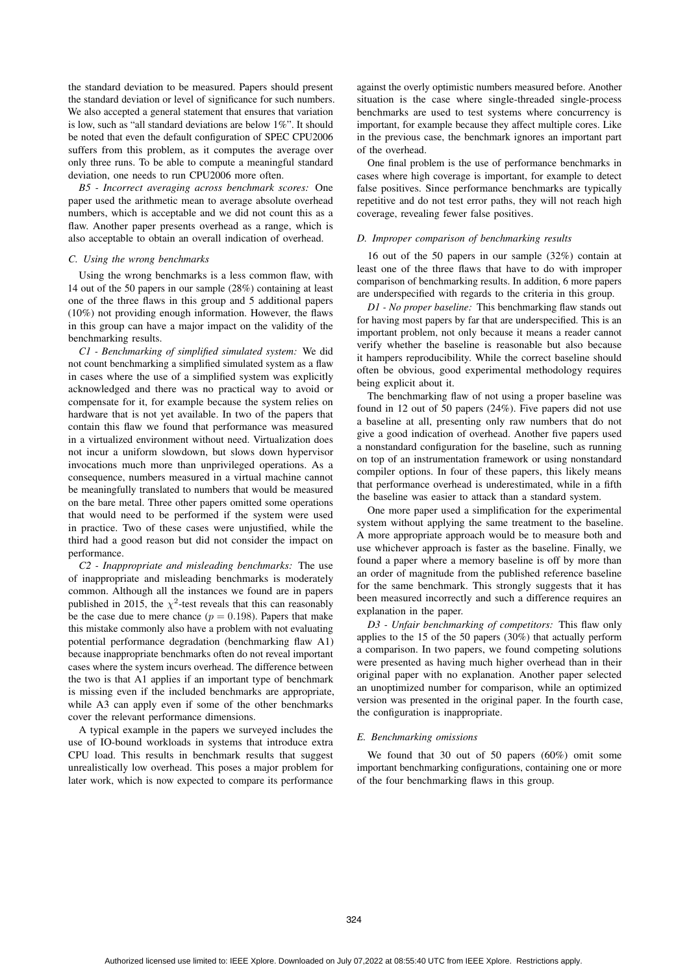the standard deviation to be measured. Papers should present the standard deviation or level of significance for such numbers. We also accepted a general statement that ensures that variation is low, such as "all standard deviations are below 1%". It should be noted that even the default configuration of SPEC CPU2006 suffers from this problem, as it computes the average over only three runs. To be able to compute a meaningful standard deviation, one needs to run CPU2006 more often.

*B5 - Incorrect averaging across benchmark scores:* One paper used the arithmetic mean to average absolute overhead numbers, which is acceptable and we did not count this as a flaw. Another paper presents overhead as a range, which is also acceptable to obtain an overall indication of overhead.

#### *C. Using the wrong benchmarks*

Using the wrong benchmarks is a less common flaw, with 14 out of the 50 papers in our sample (28%) containing at least one of the three flaws in this group and 5 additional papers (10%) not providing enough information. However, the flaws in this group can have a major impact on the validity of the benchmarking results.

*C1 - Benchmarking of simplified simulated system:* We did not count benchmarking a simplified simulated system as a flaw in cases where the use of a simplified system was explicitly acknowledged and there was no practical way to avoid or compensate for it, for example because the system relies on hardware that is not yet available. In two of the papers that contain this flaw we found that performance was measured in a virtualized environment without need. Virtualization does not incur a uniform slowdown, but slows down hypervisor invocations much more than unprivileged operations. As a consequence, numbers measured in a virtual machine cannot be meaningfully translated to numbers that would be measured on the bare metal. Three other papers omitted some operations that would need to be performed if the system were used in practice. Two of these cases were unjustified, while the third had a good reason but did not consider the impact on performance.

*C2 - Inappropriate and misleading benchmarks:* The use of inappropriate and misleading benchmarks is moderately common. Although all the instances we found are in papers published in 2015, the  $\chi^2$ -test reveals that this can reasonably be the case due to mere chance ( $p = 0.198$ ). Papers that make this mistake commonly also have a problem with not evaluating potential performance degradation (benchmarking flaw A1) because inappropriate benchmarks often do not reveal important cases where the system incurs overhead. The difference between the two is that A1 applies if an important type of benchmark is missing even if the included benchmarks are appropriate, while A3 can apply even if some of the other benchmarks cover the relevant performance dimensions.

A typical example in the papers we surveyed includes the use of IO-bound workloads in systems that introduce extra CPU load. This results in benchmark results that suggest unrealistically low overhead. This poses a major problem for later work, which is now expected to compare its performance

against the overly optimistic numbers measured before. Another situation is the case where single-threaded single-process benchmarks are used to test systems where concurrency is important, for example because they affect multiple cores. Like in the previous case, the benchmark ignores an important part of the overhead.

One final problem is the use of performance benchmarks in cases where high coverage is important, for example to detect false positives. Since performance benchmarks are typically repetitive and do not test error paths, they will not reach high coverage, revealing fewer false positives.

#### *D. Improper comparison of benchmarking results*

16 out of the 50 papers in our sample (32%) contain at least one of the three flaws that have to do with improper comparison of benchmarking results. In addition, 6 more papers are underspecified with regards to the criteria in this group.

*D1 - No proper baseline:* This benchmarking flaw stands out for having most papers by far that are underspecified. This is an important problem, not only because it means a reader cannot verify whether the baseline is reasonable but also because it hampers reproducibility. While the correct baseline should often be obvious, good experimental methodology requires being explicit about it.

The benchmarking flaw of not using a proper baseline was found in 12 out of 50 papers (24%). Five papers did not use a baseline at all, presenting only raw numbers that do not give a good indication of overhead. Another five papers used a nonstandard configuration for the baseline, such as running on top of an instrumentation framework or using nonstandard compiler options. In four of these papers, this likely means that performance overhead is underestimated, while in a fifth the baseline was easier to attack than a standard system.

One more paper used a simplification for the experimental system without applying the same treatment to the baseline. A more appropriate approach would be to measure both and use whichever approach is faster as the baseline. Finally, we found a paper where a memory baseline is off by more than an order of magnitude from the published reference baseline for the same benchmark. This strongly suggests that it has been measured incorrectly and such a difference requires an explanation in the paper.

*D3 - Unfair benchmarking of competitors:* This flaw only applies to the 15 of the 50 papers (30%) that actually perform a comparison. In two papers, we found competing solutions were presented as having much higher overhead than in their original paper with no explanation. Another paper selected an unoptimized number for comparison, while an optimized version was presented in the original paper. In the fourth case, the configuration is inappropriate.

#### *E. Benchmarking omissions*

We found that 30 out of 50 papers (60%) omit some important benchmarking configurations, containing one or more of the four benchmarking flaws in this group.